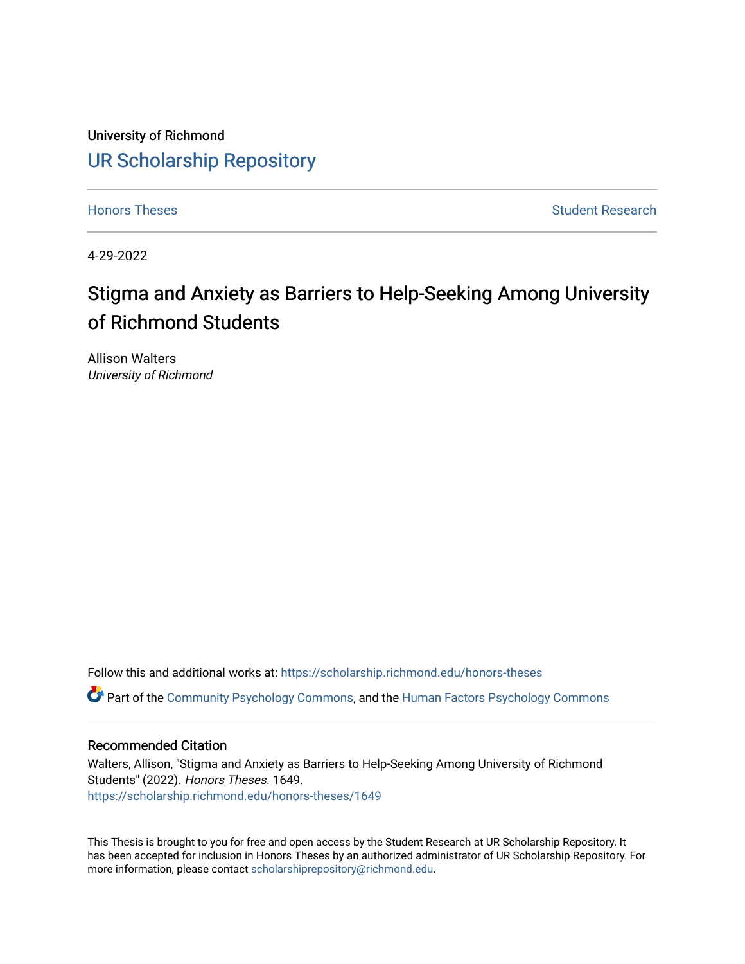University of Richmond [UR Scholarship Repository](https://scholarship.richmond.edu/) 

[Honors Theses](https://scholarship.richmond.edu/honors-theses) **Student Research Honors** Theses Student Research

4-29-2022

# Stigma and Anxiety as Barriers to Help-Seeking Among University of Richmond Students

Allison Walters University of Richmond

Follow this and additional works at: [https://scholarship.richmond.edu/honors-theses](https://scholarship.richmond.edu/honors-theses?utm_source=scholarship.richmond.edu%2Fhonors-theses%2F1649&utm_medium=PDF&utm_campaign=PDFCoverPages) Part of the [Community Psychology Commons,](https://network.bepress.com/hgg/discipline/409?utm_source=scholarship.richmond.edu%2Fhonors-theses%2F1649&utm_medium=PDF&utm_campaign=PDFCoverPages) and the [Human Factors Psychology Commons](https://network.bepress.com/hgg/discipline/1412?utm_source=scholarship.richmond.edu%2Fhonors-theses%2F1649&utm_medium=PDF&utm_campaign=PDFCoverPages) 

#### Recommended Citation

Walters, Allison, "Stigma and Anxiety as Barriers to Help-Seeking Among University of Richmond Students" (2022). Honors Theses. 1649. [https://scholarship.richmond.edu/honors-theses/1649](https://scholarship.richmond.edu/honors-theses/1649?utm_source=scholarship.richmond.edu%2Fhonors-theses%2F1649&utm_medium=PDF&utm_campaign=PDFCoverPages) 

This Thesis is brought to you for free and open access by the Student Research at UR Scholarship Repository. It has been accepted for inclusion in Honors Theses by an authorized administrator of UR Scholarship Repository. For more information, please contact [scholarshiprepository@richmond.edu](mailto:scholarshiprepository@richmond.edu).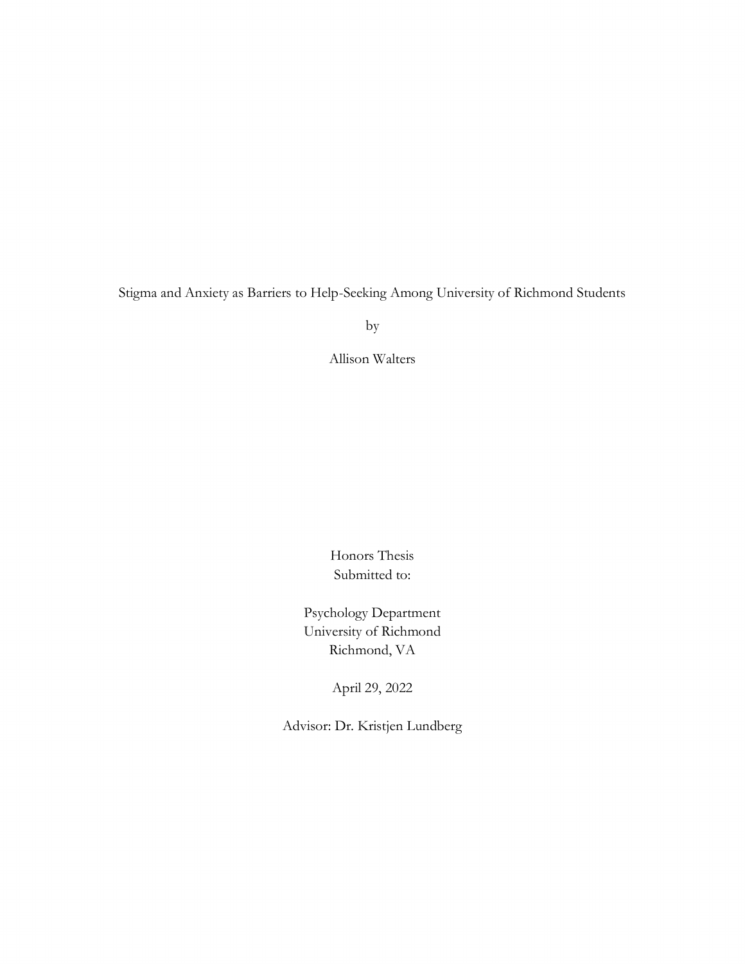Stigma and Anxiety as Barriers to Help-Seeking Among University of Richmond Students

by

Allison Walters

Honors Thesis Submitted to:

Psychology Department University of Richmond Richmond, VA

April 29, 2022

Advisor: Dr. Kristjen Lundberg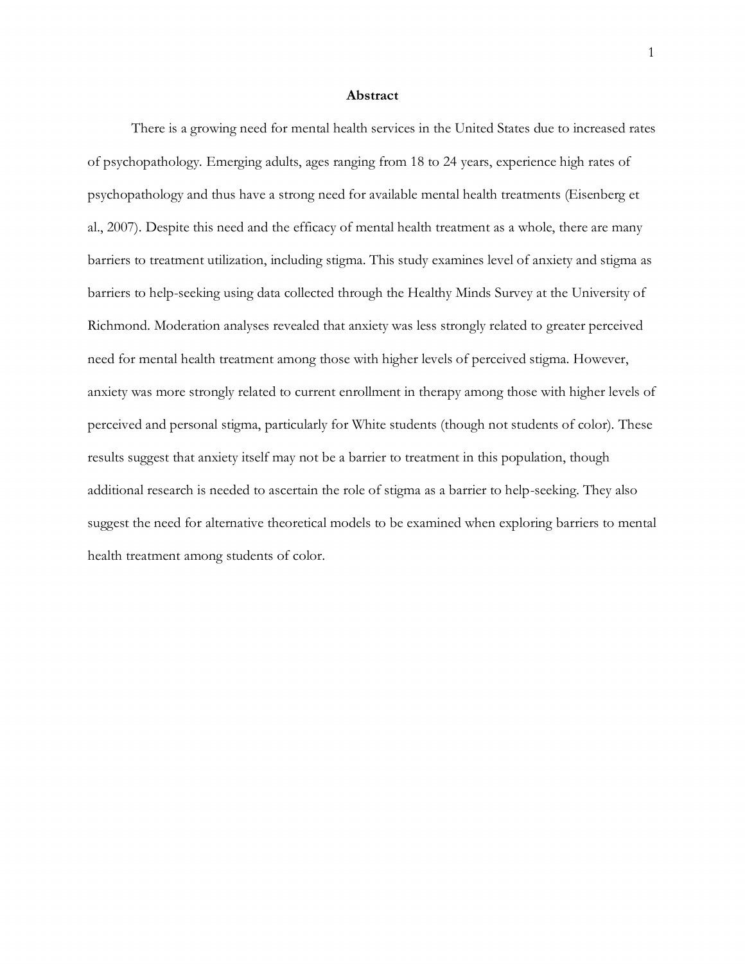#### **Abstract**

There is a growing need for mental health services in the United States due to increased rates of psychopathology. Emerging adults, ages ranging from 18 to 24 years, experience high rates of psychopathology and thus have a strong need for available mental health treatments (Eisenberg et al., 2007). Despite this need and the efficacy of mental health treatment as a whole, there are many barriers to treatment utilization, including stigma. This study examines level of anxiety and stigma as barriers to help-seeking using data collected through the Healthy Minds Survey at the University of Richmond. Moderation analyses revealed that anxiety was less strongly related to greater perceived need for mental health treatment among those with higher levels of perceived stigma. However, anxiety was more strongly related to current enrollment in therapy among those with higher levels of perceived and personal stigma, particularly for White students (though not students of color). These results suggest that anxiety itself may not be a barrier to treatment in this population, though additional research is needed to ascertain the role of stigma as a barrier to help-seeking. They also suggest the need for alternative theoretical models to be examined when exploring barriers to mental health treatment among students of color.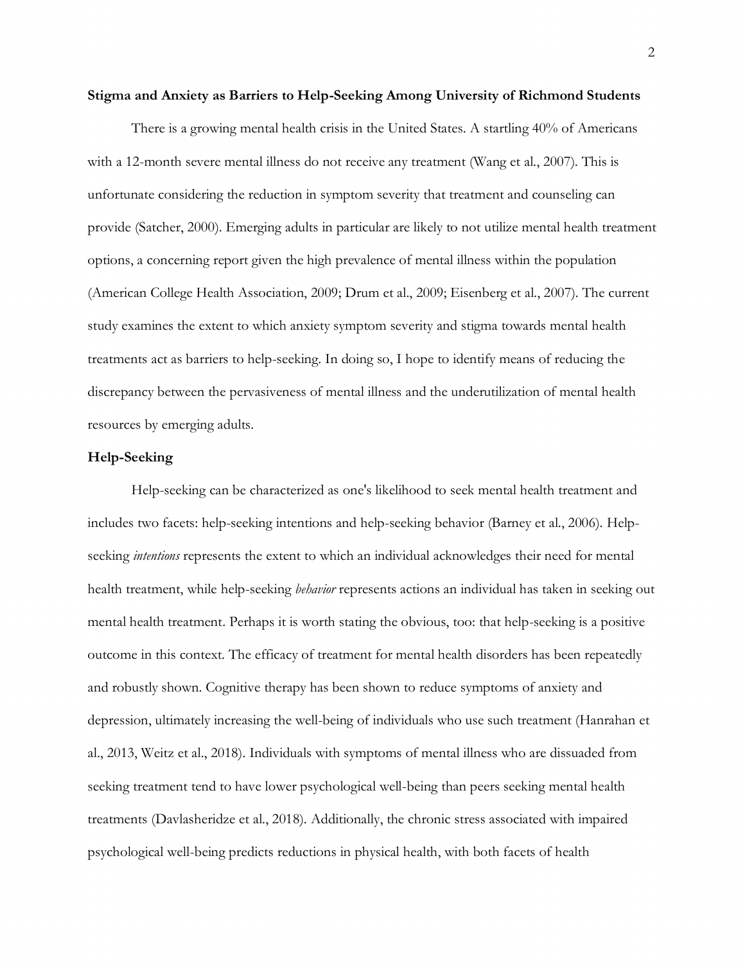#### **Stigma and Anxiety as Barriers to Help-Seeking Among University of Richmond Students**

There is a growing mental health crisis in the United States. A startling 40% of Americans with a 12-month severe mental illness do not receive any treatment (Wang et al., 2007). This is unfortunate considering the reduction in symptom severity that treatment and counseling can provide (Satcher, 2000). Emerging adults in particular are likely to not utilize mental health treatment options, a concerning report given the high prevalence of mental illness within the population (American College Health Association, 2009; Drum et al., 2009; Eisenberg et al., 2007). The current study examines the extent to which anxiety symptom severity and stigma towards mental health treatments act as barriers to help-seeking. In doing so, I hope to identify means of reducing the discrepancy between the pervasiveness of mental illness and the underutilization of mental health resources by emerging adults.

### **Help-Seeking**

Help-seeking can be characterized as one's likelihood to seek mental health treatment and includes two facets: help-seeking intentions and help-seeking behavior (Barney et al., 2006). Helpseeking *intentions* represents the extent to which an individual acknowledges their need for mental health treatment, while help-seeking *behavior* represents actions an individual has taken in seeking out mental health treatment. Perhaps it is worth stating the obvious, too: that help-seeking is a positive outcome in this context. The efficacy of treatment for mental health disorders has been repeatedly and robustly shown. Cognitive therapy has been shown to reduce symptoms of anxiety and depression, ultimately increasing the well-being of individuals who use such treatment (Hanrahan et al., 2013, Weitz et al., 2018). Individuals with symptoms of mental illness who are dissuaded from seeking treatment tend to have lower psychological well-being than peers seeking mental health treatments (Davlasheridze et al., 2018). Additionally, the chronic stress associated with impaired psychological well-being predicts reductions in physical health, with both facets of health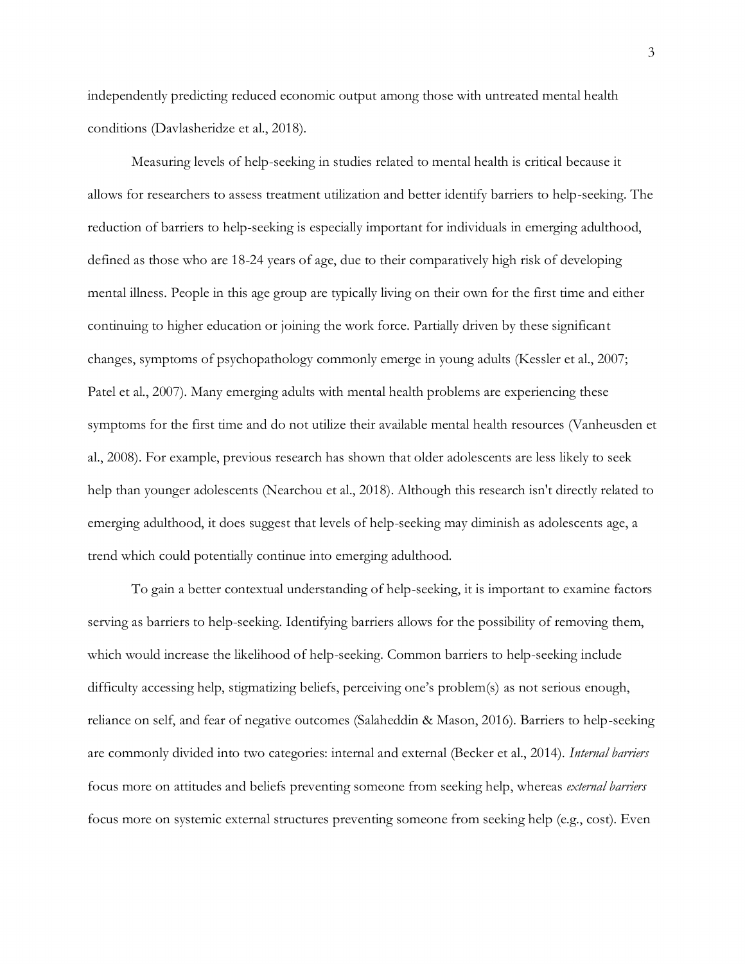independently predicting reduced economic output among those with untreated mental health conditions (Davlasheridze et al., 2018).

Measuring levels of help-seeking in studies related to mental health is critical because it allows for researchers to assess treatment utilization and better identify barriers to help-seeking. The reduction of barriers to help-seeking is especially important for individuals in emerging adulthood, defined as those who are 18-24 years of age, due to their comparatively high risk of developing mental illness. People in this age group are typically living on their own for the first time and either continuing to higher education or joining the work force. Partially driven by these significant changes, symptoms of psychopathology commonly emerge in young adults (Kessler et al., 2007; Patel et al., 2007). Many emerging adults with mental health problems are experiencing these symptoms for the first time and do not utilize their available mental health resources (Vanheusden et al., 2008). For example, previous research has shown that older adolescents are less likely to seek help than younger adolescents (Nearchou et al., 2018). Although this research isn't directly related to emerging adulthood, it does suggest that levels of help-seeking may diminish as adolescents age, a trend which could potentially continue into emerging adulthood.

To gain a better contextual understanding of help-seeking, it is important to examine factors serving as barriers to help-seeking. Identifying barriers allows for the possibility of removing them, which would increase the likelihood of help-seeking. Common barriers to help-seeking include difficulty accessing help, stigmatizing beliefs, perceiving one's problem(s) as not serious enough, reliance on self, and fear of negative outcomes (Salaheddin & Mason, 2016). Barriers to help-seeking are commonly divided into two categories: internal and external (Becker et al., 2014). *Internal barriers* focus more on attitudes and beliefs preventing someone from seeking help, whereas *external barriers* focus more on systemic external structures preventing someone from seeking help (e.g., cost). Even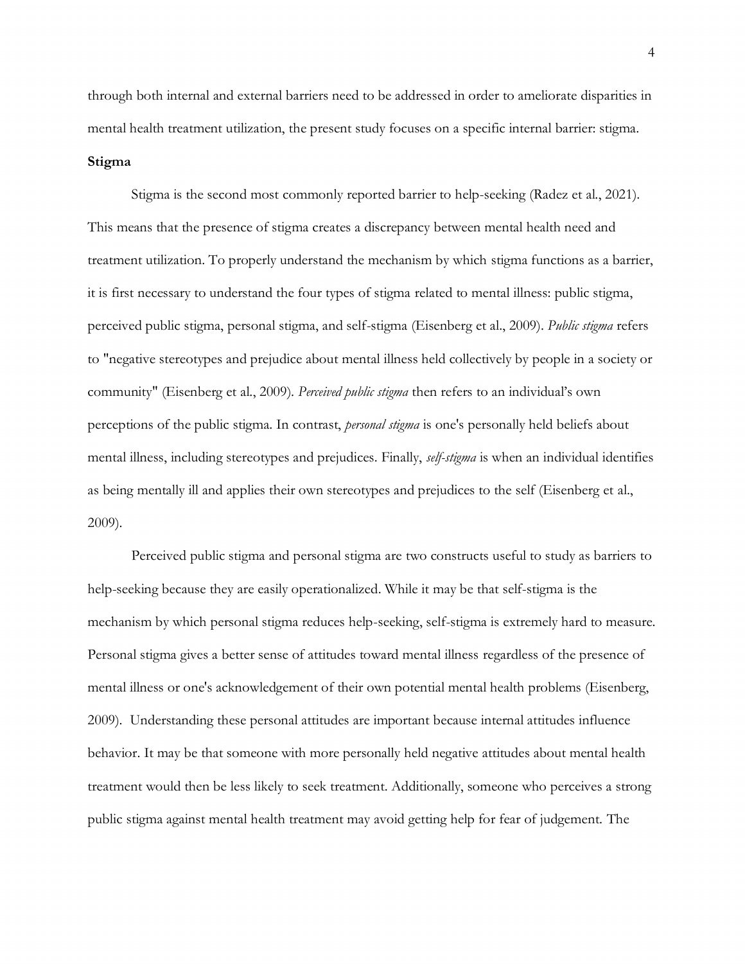through both internal and external barriers need to be addressed in order to ameliorate disparities in mental health treatment utilization, the present study focuses on a specific internal barrier: stigma. **Stigma**

Stigma is the second most commonly reported barrier to help-seeking (Radez et al., 2021). This means that the presence of stigma creates a discrepancy between mental health need and treatment utilization. To properly understand the mechanism by which stigma functions as a barrier, it is first necessary to understand the four types of stigma related to mental illness: public stigma, perceived public stigma, personal stigma, and self-stigma (Eisenberg et al., 2009). *Public stigma* refers to "negative stereotypes and prejudice about mental illness held collectively by people in a society or community" (Eisenberg et al., 2009). *Perceived public stigma* then refers to an individual's own perceptions of the public stigma. In contrast, *personal stigma* is one's personally held beliefs about mental illness, including stereotypes and prejudices. Finally, *self-stigma* is when an individual identifies as being mentally ill and applies their own stereotypes and prejudices to the self (Eisenberg et al., 2009).

Perceived public stigma and personal stigma are two constructs useful to study as barriers to help-seeking because they are easily operationalized. While it may be that self-stigma is the mechanism by which personal stigma reduces help-seeking, self-stigma is extremely hard to measure. Personal stigma gives a better sense of attitudes toward mental illness regardless of the presence of mental illness or one's acknowledgement of their own potential mental health problems (Eisenberg, 2009). Understanding these personal attitudes are important because internal attitudes influence behavior. It may be that someone with more personally held negative attitudes about mental health treatment would then be less likely to seek treatment. Additionally, someone who perceives a strong public stigma against mental health treatment may avoid getting help for fear of judgement. The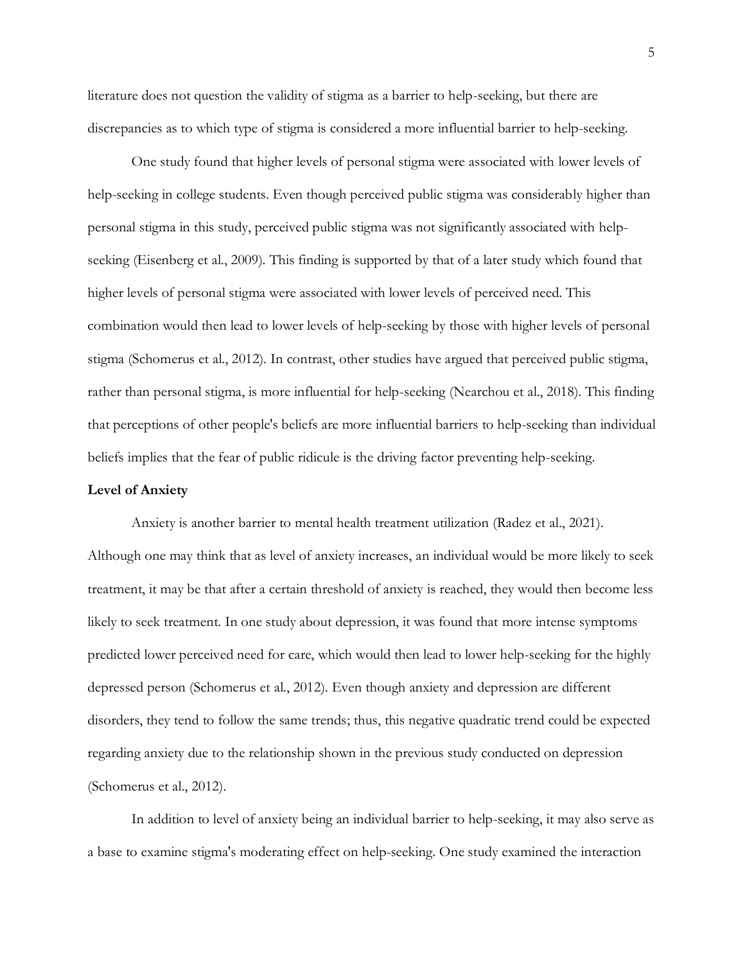literature does not question the validity of stigma as a barrier to help-seeking, but there are discrepancies as to which type of stigma is considered a more influential barrier to help-seeking.

One study found that higher levels of personal stigma were associated with lower levels of help-seeking in college students. Even though perceived public stigma was considerably higher than personal stigma in this study, perceived public stigma was not significantly associated with helpseeking (Eisenberg et al., 2009). This finding is supported by that of a later study which found that higher levels of personal stigma were associated with lower levels of perceived need. This combination would then lead to lower levels of help-seeking by those with higher levels of personal stigma (Schomerus et al., 2012). In contrast, other studies have argued that perceived public stigma, rather than personal stigma, is more influential for help-seeking (Nearchou et al., 2018). This finding that perceptions of other people's beliefs are more influential barriers to help-seeking than individual beliefs implies that the fear of public ridicule is the driving factor preventing help-seeking.

#### **Level of Anxiety**

Anxiety is another barrier to mental health treatment utilization (Radez et al., 2021). Although one may think that as level of anxiety increases, an individual would be more likely to seek treatment, it may be that after a certain threshold of anxiety is reached, they would then become less likely to seek treatment. In one study about depression, it was found that more intense symptoms predicted lower perceived need for care, which would then lead to lower help-seeking for the highly depressed person (Schomerus et al., 2012). Even though anxiety and depression are different disorders, they tend to follow the same trends; thus, this negative quadratic trend could be expected regarding anxiety due to the relationship shown in the previous study conducted on depression (Schomerus et al., 2012).

In addition to level of anxiety being an individual barrier to help-seeking, it may also serve as a base to examine stigma's moderating effect on help-seeking. One study examined the interaction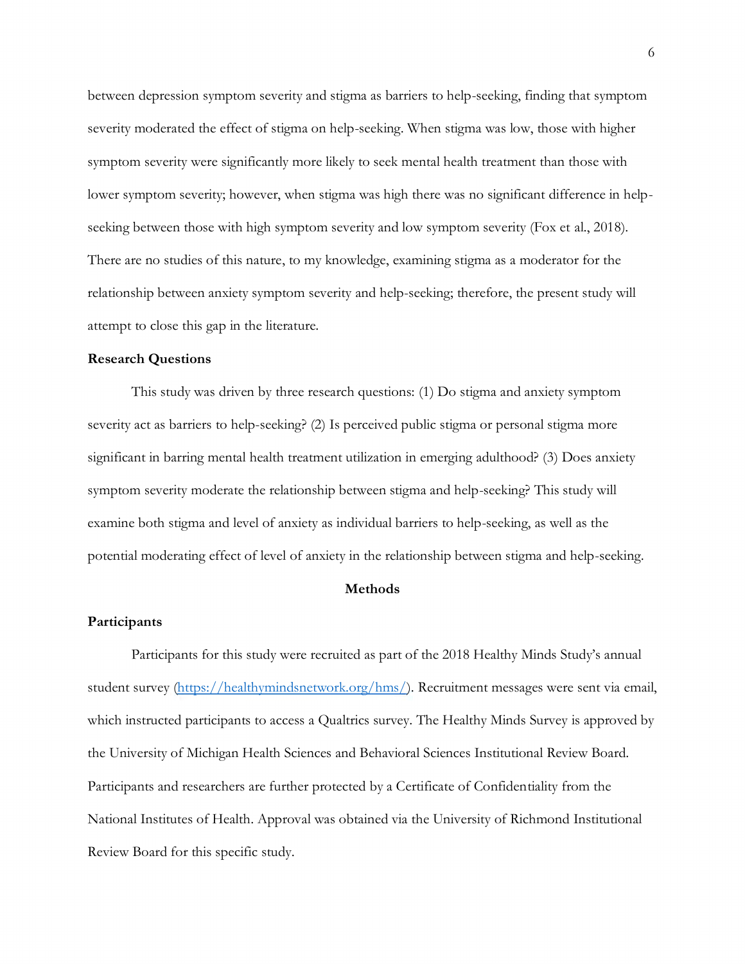between depression symptom severity and stigma as barriers to help-seeking, finding that symptom severity moderated the effect of stigma on help-seeking. When stigma was low, those with higher symptom severity were significantly more likely to seek mental health treatment than those with lower symptom severity; however, when stigma was high there was no significant difference in helpseeking between those with high symptom severity and low symptom severity (Fox et al., 2018). There are no studies of this nature, to my knowledge, examining stigma as a moderator for the relationship between anxiety symptom severity and help-seeking; therefore, the present study will attempt to close this gap in the literature.

#### **Research Questions**

This study was driven by three research questions: (1) Do stigma and anxiety symptom severity act as barriers to help-seeking? (2) Is perceived public stigma or personal stigma more significant in barring mental health treatment utilization in emerging adulthood? (3) Does anxiety symptom severity moderate the relationship between stigma and help-seeking? This study will examine both stigma and level of anxiety as individual barriers to help-seeking, as well as the potential moderating effect of level of anxiety in the relationship between stigma and help-seeking.

### **Methods**

### **Participants**

Participants for this study were recruited as part of the 2018 Healthy Minds Study's annual student survey [\(https://healthymindsnetwork.org/hms/\)](https://healthymindsnetwork.org/hms/). Recruitment messages were sent via email, which instructed participants to access a Qualtrics survey. The Healthy Minds Survey is approved by the University of Michigan Health Sciences and Behavioral Sciences Institutional Review Board. Participants and researchers are further protected by a Certificate of Confidentiality from the National Institutes of Health. Approval was obtained via the University of Richmond Institutional Review Board for this specific study.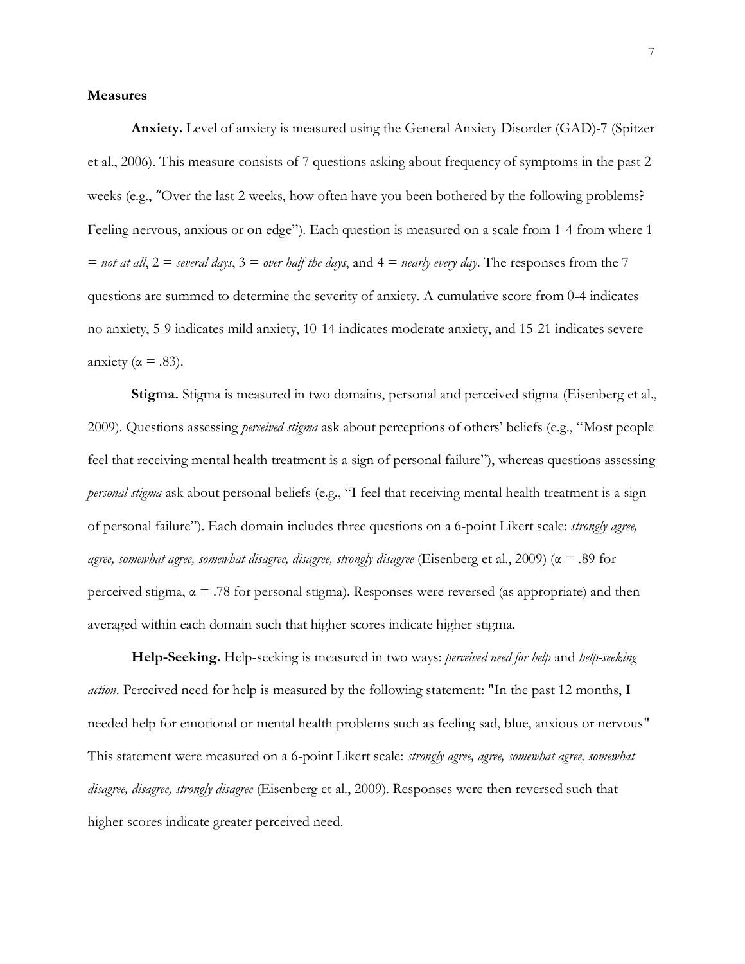#### **Measures**

**Anxiety.** Level of anxiety is measured using the General Anxiety Disorder (GAD)-7 (Spitzer et al., 2006). This measure consists of 7 questions asking about frequency of symptoms in the past 2 weeks (e.g., "Over the last 2 weeks, how often have you been bothered by the following problems? Feeling nervous, anxious or on edge"). Each question is measured on a scale from 1-4 from where 1  $=$  *not at all*,  $2 =$  *several days*,  $3 =$  *over half the days*, and  $4 =$  *nearly every day*. The responses from the 7 questions are summed to determine the severity of anxiety. A cumulative score from 0-4 indicates no anxiety, 5-9 indicates mild anxiety, 10-14 indicates moderate anxiety, and 15-21 indicates severe anxiety ( $\alpha = .83$ ).

**Stigma.** Stigma is measured in two domains, personal and perceived stigma (Eisenberg et al., 2009). Questions assessing *perceived stigma* ask about perceptions of others' beliefs (e.g., "Most people feel that receiving mental health treatment is a sign of personal failure"), whereas questions assessing *personal stigma* ask about personal beliefs (e.g., "I feel that receiving mental health treatment is a sign of personal failure"). Each domain includes three questions on a 6-point Likert scale: *strongly agree, agree, somewhat agree, somewhat disagree, disagree, strongly disagree* (Eisenberg et al., 2009) (α = .89 for perceived stigma,  $\alpha = .78$  for personal stigma). Responses were reversed (as appropriate) and then averaged within each domain such that higher scores indicate higher stigma.

**Help-Seeking.** Help-seeking is measured in two ways: *perceived need for help* and *help-seeking action*. Perceived need for help is measured by the following statement: "In the past 12 months, I needed help for emotional or mental health problems such as feeling sad, blue, anxious or nervous" This statement were measured on a 6-point Likert scale: *strongly agree, agree, somewhat agree, somewhat disagree, disagree, strongly disagree* (Eisenberg et al., 2009). Responses were then reversed such that higher scores indicate greater perceived need.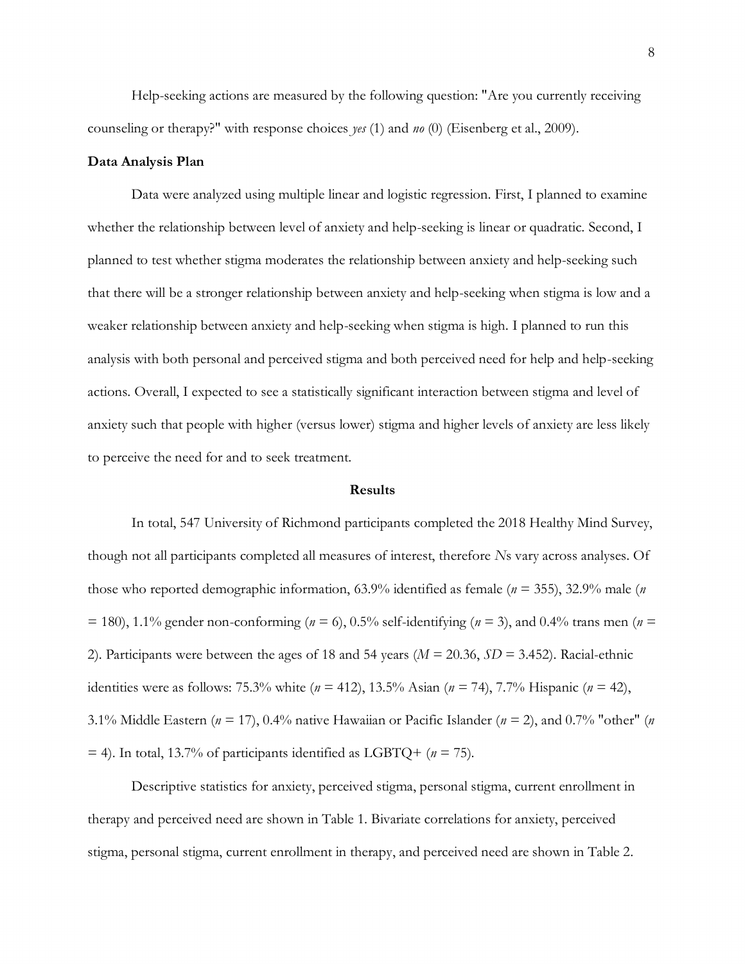Help-seeking actions are measured by the following question: "Are you currently receiving counseling or therapy?" with response choices *yes* (1) and *no* (0) (Eisenberg et al., 2009).

#### **Data Analysis Plan**

Data were analyzed using multiple linear and logistic regression. First, I planned to examine whether the relationship between level of anxiety and help-seeking is linear or quadratic. Second, I planned to test whether stigma moderates the relationship between anxiety and help-seeking such that there will be a stronger relationship between anxiety and help-seeking when stigma is low and a weaker relationship between anxiety and help-seeking when stigma is high. I planned to run this analysis with both personal and perceived stigma and both perceived need for help and help-seeking actions. Overall, I expected to see a statistically significant interaction between stigma and level of anxiety such that people with higher (versus lower) stigma and higher levels of anxiety are less likely to perceive the need for and to seek treatment.

#### **Results**

In total, 547 University of Richmond participants completed the 2018 Healthy Mind Survey, though not all participants completed all measures of interest, therefore *N*s vary across analyses. Of those who reported demographic information, 63.9% identified as female (*n* = 355), 32.9% male (*n*  $(7.180)$ , 1.1% gender non-conforming ( $n = 6$ ), 0.5% self-identifying ( $n = 3$ ), and 0.4% trans men ( $n = 180$ ) 2). Participants were between the ages of 18 and 54 years (*M* = 20.36, *SD* = 3.452). Racial-ethnic identities were as follows: 75.3% white (*n* = 412), 13.5% Asian (*n* = 74), 7.7% Hispanic (*n* = 42), 3.1% Middle Eastern (*n* = 17), 0.4% native Hawaiian or Pacific Islander (*n* = 2), and 0.7% "other" (*n*  $=$  4). In total, 13.7% of participants identified as LGBTQ+ ( $n = 75$ ).

Descriptive statistics for anxiety, perceived stigma, personal stigma, current enrollment in therapy and perceived need are shown in Table 1. Bivariate correlations for anxiety, perceived stigma, personal stigma, current enrollment in therapy, and perceived need are shown in Table 2.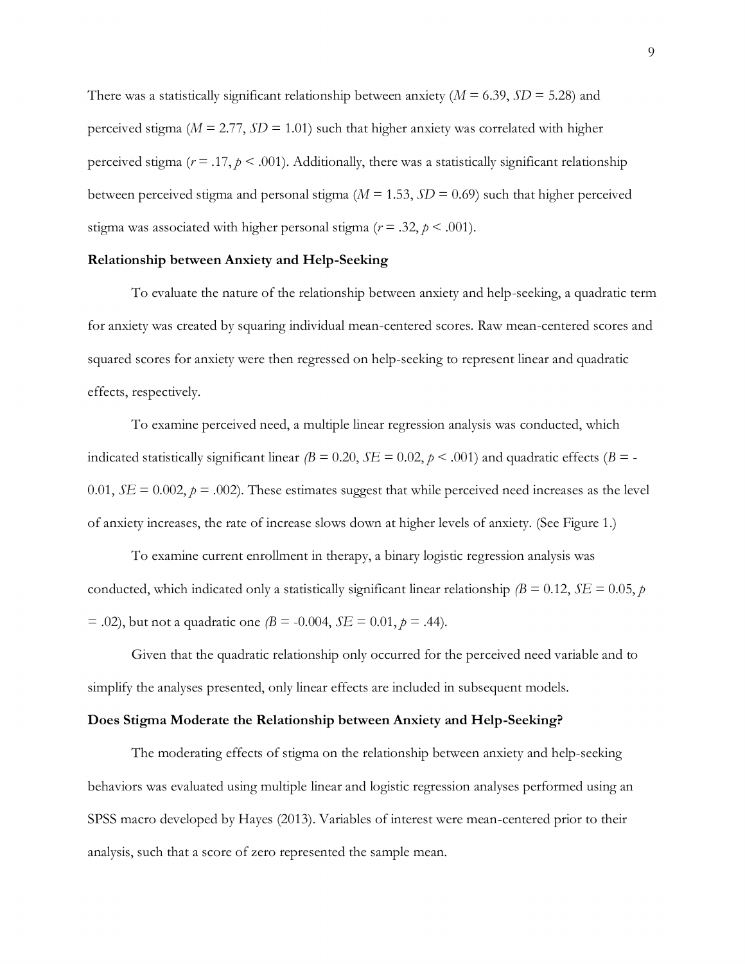There was a statistically significant relationship between anxiety  $(M = 6.39, SD = 5.28)$  and perceived stigma ( $M = 2.77$ ,  $SD = 1.01$ ) such that higher anxiety was correlated with higher perceived stigma ( $r = .17$ ,  $p < .001$ ). Additionally, there was a statistically significant relationship between perceived stigma and personal stigma ( $M = 1.53$ ,  $SD = 0.69$ ) such that higher perceived stigma was associated with higher personal stigma ( $r = .32$ ,  $p < .001$ ).

#### **Relationship between Anxiety and Help-Seeking**

To evaluate the nature of the relationship between anxiety and help-seeking, a quadratic term for anxiety was created by squaring individual mean-centered scores. Raw mean-centered scores and squared scores for anxiety were then regressed on help-seeking to represent linear and quadratic effects, respectively.

To examine perceived need, a multiple linear regression analysis was conducted, which indicated statistically significant linear  $\beta = 0.20$ ,  $\delta E = 0.02$ ,  $p < .001$ ) and quadratic effects  $\beta = -$ 0.01,  $SE = 0.002$ ,  $p = .002$ ). These estimates suggest that while perceived need increases as the level of anxiety increases, the rate of increase slows down at higher levels of anxiety. (See Figure 1.)

To examine current enrollment in therapy, a binary logistic regression analysis was conducted, which indicated only a statistically significant linear relationship  $\beta = 0.12$ ,  $SE = 0.05$ , *p*  $= .02$ ), but not a quadratic one  $\beta = -0.004$ ,  $SE = 0.01$ ,  $p = .44$ ).

Given that the quadratic relationship only occurred for the perceived need variable and to simplify the analyses presented, only linear effects are included in subsequent models.

#### **Does Stigma Moderate the Relationship between Anxiety and Help-Seeking?**

The moderating effects of stigma on the relationship between anxiety and help-seeking behaviors was evaluated using multiple linear and logistic regression analyses performed using an SPSS macro developed by Hayes (2013). Variables of interest were mean-centered prior to their analysis, such that a score of zero represented the sample mean.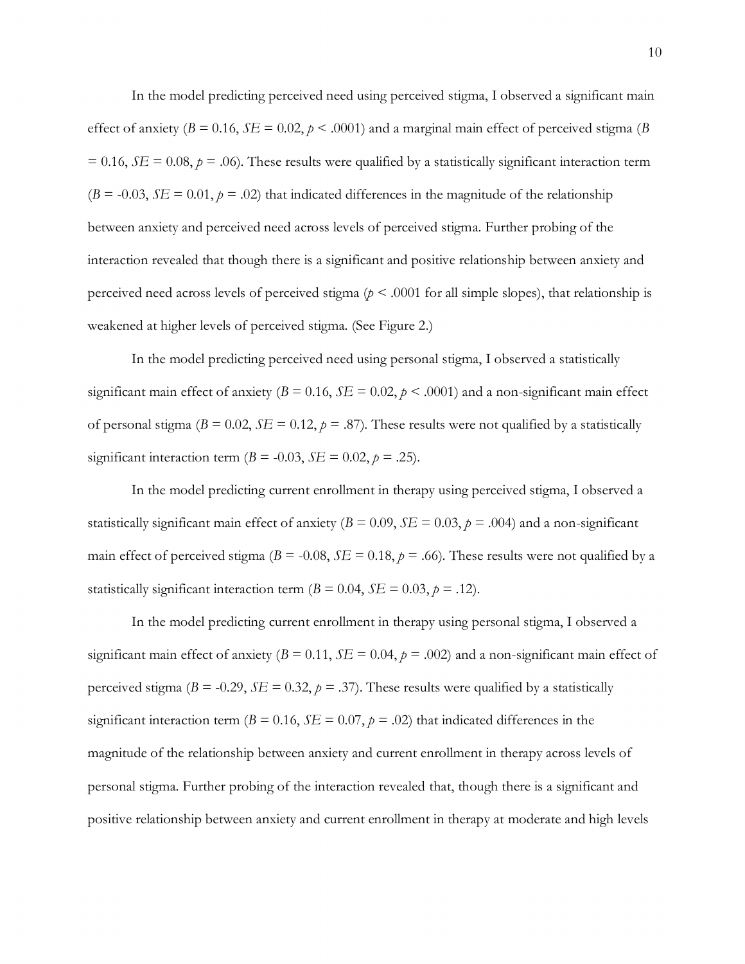In the model predicting perceived need using perceived stigma, I observed a significant main effect of anxiety ( $B = 0.16$ ,  $SE = 0.02$ ,  $p < 0.001$ ) and a marginal main effect of perceived stigma ( $B$  $= 0.16$ , *SE* = 0.08,  $p = .06$ ). These results were qualified by a statistically significant interaction term  $(B = -0.03, SE = 0.01, p = .02)$  that indicated differences in the magnitude of the relationship between anxiety and perceived need across levels of perceived stigma. Further probing of the interaction revealed that though there is a significant and positive relationship between anxiety and perceived need across levels of perceived stigma ( $p < .0001$  for all simple slopes), that relationship is weakened at higher levels of perceived stigma. (See Figure 2.)

In the model predicting perceived need using personal stigma, I observed a statistically significant main effect of anxiety  $(B = 0.16, SE = 0.02, p < .0001)$  and a non-significant main effect of personal stigma ( $B = 0.02$ ,  $SE = 0.12$ ,  $p = .87$ ). These results were not qualified by a statistically significant interaction term  $(B = -0.03, SE = 0.02, p = .25)$ .

In the model predicting current enrollment in therapy using perceived stigma, I observed a statistically significant main effect of anxiety ( $B = 0.09$ ,  $SE = 0.03$ ,  $p = .004$ ) and a non-significant main effect of perceived stigma ( $B = -0.08$ ,  $SE = 0.18$ ,  $p = .66$ ). These results were not qualified by a statistically significant interaction term  $(B = 0.04, SE = 0.03, p = .12)$ .

In the model predicting current enrollment in therapy using personal stigma, I observed a significant main effect of anxiety ( $B = 0.11$ ,  $SE = 0.04$ ,  $p = .002$ ) and a non-significant main effect of perceived stigma ( $B = -0.29$ ,  $SE = 0.32$ ,  $p = .37$ ). These results were qualified by a statistically significant interaction term ( $B = 0.16$ ,  $SE = 0.07$ ,  $p = .02$ ) that indicated differences in the magnitude of the relationship between anxiety and current enrollment in therapy across levels of personal stigma. Further probing of the interaction revealed that, though there is a significant and positive relationship between anxiety and current enrollment in therapy at moderate and high levels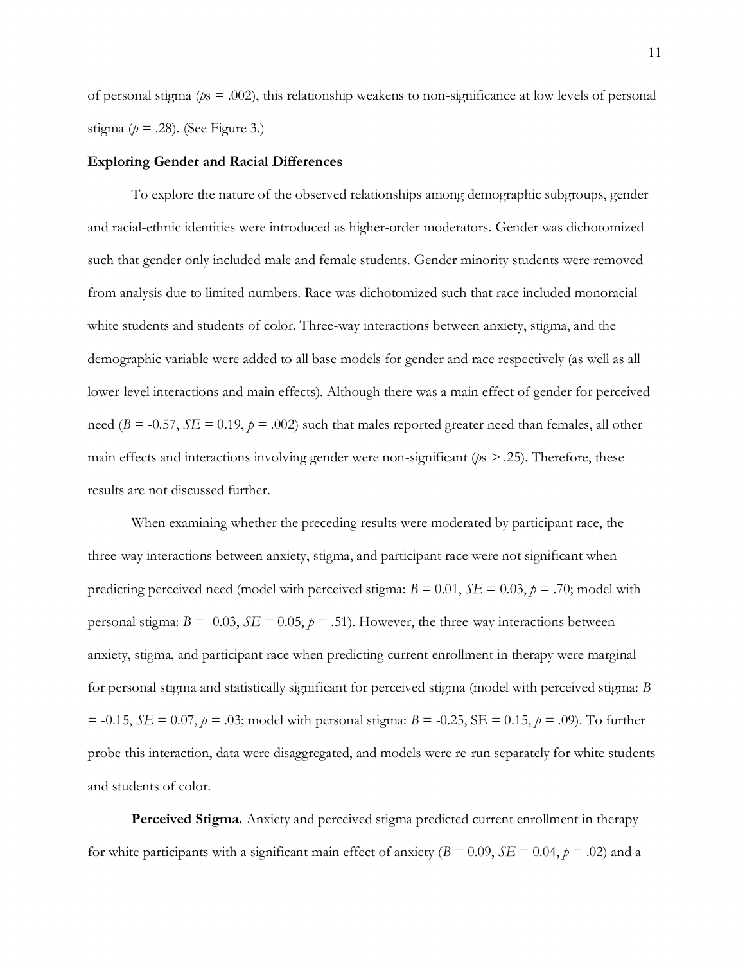of personal stigma (*p*s = .002), this relationship weakens to non-significance at low levels of personal stigma ( $p = .28$ ). (See Figure 3.)

#### **Exploring Gender and Racial Differences**

To explore the nature of the observed relationships among demographic subgroups, gender and racial-ethnic identities were introduced as higher-order moderators. Gender was dichotomized such that gender only included male and female students. Gender minority students were removed from analysis due to limited numbers. Race was dichotomized such that race included monoracial white students and students of color. Three-way interactions between anxiety, stigma, and the demographic variable were added to all base models for gender and race respectively (as well as all lower-level interactions and main effects). Although there was a main effect of gender for perceived need ( $B = -0.57$ ,  $SE = 0.19$ ,  $p = .002$ ) such that males reported greater need than females, all other main effects and interactions involving gender were non-significant (*p*s *> .*25). Therefore, these results are not discussed further.

When examining whether the preceding results were moderated by participant race, the three-way interactions between anxiety, stigma, and participant race were not significant when predicting perceived need (model with perceived stigma:  $B = 0.01$ ,  $SE = 0.03$ ,  $p = .70$ ; model with personal stigma:  $B = -0.03$ ,  $SE = 0.05$ ,  $p = .51$ ). However, the three-way interactions between anxiety, stigma, and participant race when predicting current enrollment in therapy were marginal for personal stigma and statistically significant for perceived stigma (model with perceived stigma: *B*  $= -0.15$ , *SE* = 0.07, *p* = .03; model with personal stigma: *B* = -0.25, SE = 0.15, *p* = .09). To further probe this interaction, data were disaggregated, and models were re-run separately for white students and students of color.

**Perceived Stigma.** Anxiety and perceived stigma predicted current enrollment in therapy for white participants with a significant main effect of anxiety ( $B = 0.09$ ,  $SE = 0.04$ ,  $p = .02$ ) and a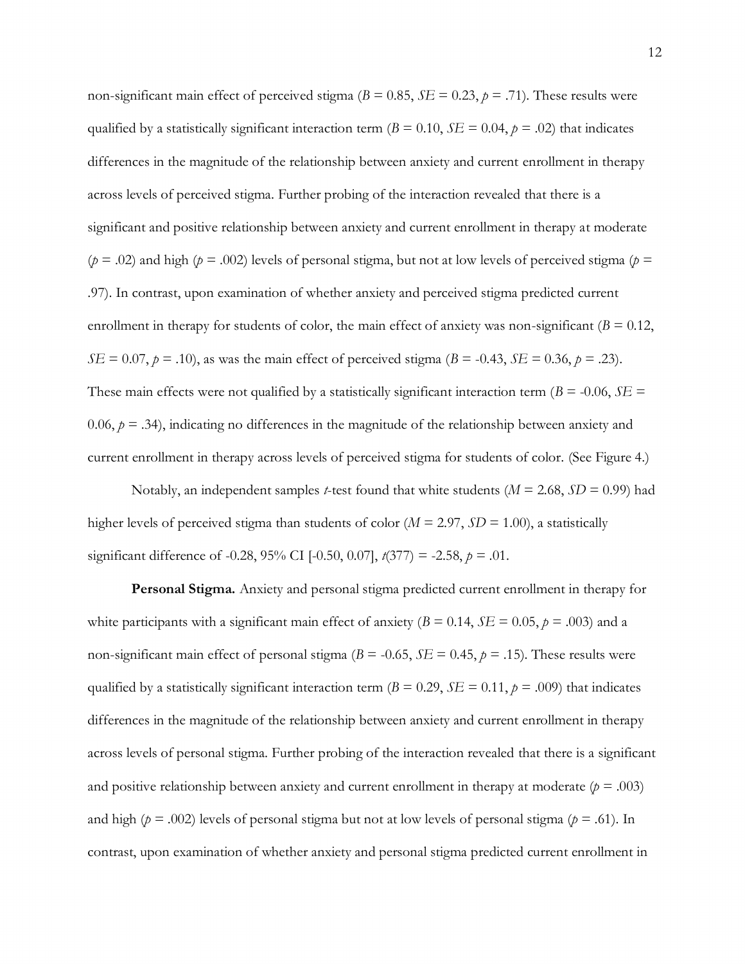non-significant main effect of perceived stigma ( $B = 0.85$ ,  $SE = 0.23$ ,  $p = .71$ ). These results were qualified by a statistically significant interaction term ( $B = 0.10$ ,  $SE = 0.04$ ,  $p = .02$ ) that indicates differences in the magnitude of the relationship between anxiety and current enrollment in therapy across levels of perceived stigma. Further probing of the interaction revealed that there is a significant and positive relationship between anxiety and current enrollment in therapy at moderate  $(p = .02)$  and high ( $p = .002$ ) levels of personal stigma, but not at low levels of perceived stigma ( $p =$ .97). In contrast, upon examination of whether anxiety and perceived stigma predicted current enrollment in therapy for students of color, the main effect of anxiety was non-significant  $(B = 0.12)$ , *SE* = 0.07, *p* = .10), as was the main effect of perceived stigma (*B* = -0.43, *SE* = 0.36, *p* = .23). These main effects were not qualified by a statistically significant interaction term ( $B = -0.06$ ,  $SE =$ 0.06,  $p = 0.34$ ), indicating no differences in the magnitude of the relationship between anxiety and current enrollment in therapy across levels of perceived stigma for students of color. (See Figure 4.)

Notably, an independent samples *t*-test found that white students (*M* = 2.68, *SD* = 0.99) had higher levels of perceived stigma than students of color (*M* = 2.97, *SD* = 1.00), a statistically significant difference of -0.28, 95% CI [-0.50, 0.07], *t*(377) = -2.58, *p* = .01.

**Personal Stigma.** Anxiety and personal stigma predicted current enrollment in therapy for white participants with a significant main effect of anxiety ( $B = 0.14$ ,  $SE = 0.05$ ,  $p = .003$ ) and a non-significant main effect of personal stigma ( $B = -0.65$ ,  $SE = 0.45$ ,  $p = .15$ ). These results were qualified by a statistically significant interaction term ( $B = 0.29$ ,  $SE = 0.11$ ,  $p = .009$ ) that indicates differences in the magnitude of the relationship between anxiety and current enrollment in therapy across levels of personal stigma. Further probing of the interaction revealed that there is a significant and positive relationship between anxiety and current enrollment in therapy at moderate  $(p = .003)$ and high ( $p = .002$ ) levels of personal stigma but not at low levels of personal stigma ( $p = .61$ ). In contrast, upon examination of whether anxiety and personal stigma predicted current enrollment in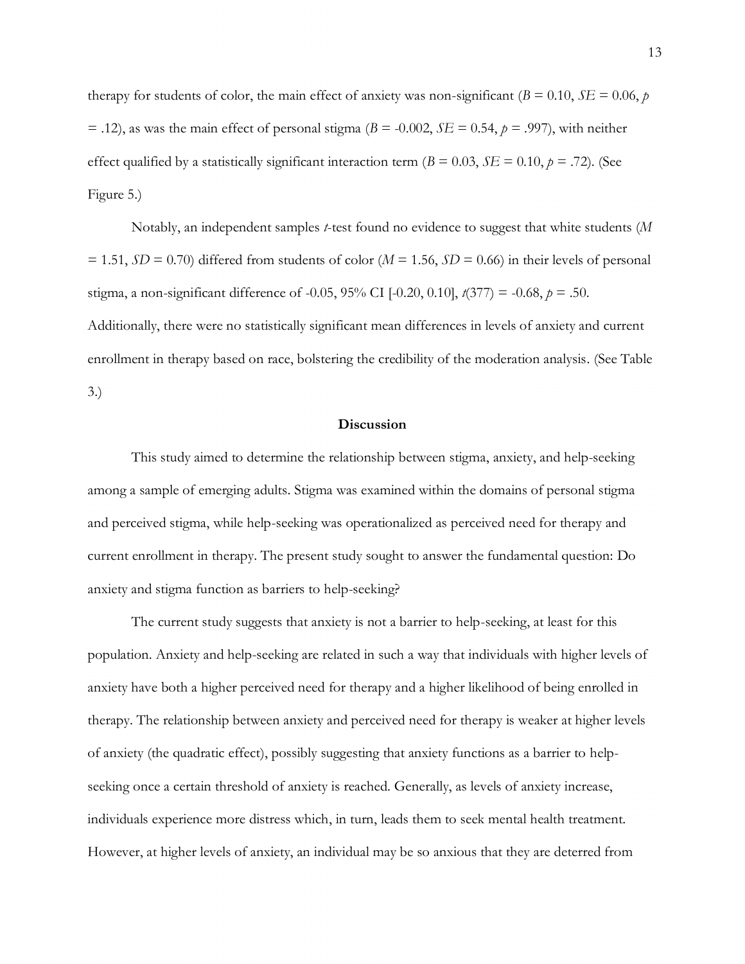therapy for students of color, the main effect of anxiety was non-significant ( $B = 0.10$ ,  $SE = 0.06$ ,  $p$ )  $=$  .12), as was the main effect of personal stigma ( $B = -0.002$ ,  $SE = 0.54$ ,  $p = .997$ ), with neither effect qualified by a statistically significant interaction term ( $B = 0.03$ ,  $SE = 0.10$ ,  $p = .72$ ). (See Figure 5.)

Notably, an independent samples *t*-test found no evidence to suggest that white students (*M*   $= 1.51, SD = 0.70$ ) differed from students of color ( $M = 1.56$ ,  $SD = 0.66$ ) in their levels of personal stigma, a non-significant difference of -0.05, 95% CI [-0.20, 0.10], *t*(377) = -0.68, *p* = .50. Additionally, there were no statistically significant mean differences in levels of anxiety and current enrollment in therapy based on race, bolstering the credibility of the moderation analysis. (See Table 3.)

### **Discussion**

This study aimed to determine the relationship between stigma, anxiety, and help-seeking among a sample of emerging adults. Stigma was examined within the domains of personal stigma and perceived stigma, while help-seeking was operationalized as perceived need for therapy and current enrollment in therapy. The present study sought to answer the fundamental question: Do anxiety and stigma function as barriers to help-seeking?

The current study suggests that anxiety is not a barrier to help-seeking, at least for this population. Anxiety and help-seeking are related in such a way that individuals with higher levels of anxiety have both a higher perceived need for therapy and a higher likelihood of being enrolled in therapy. The relationship between anxiety and perceived need for therapy is weaker at higher levels of anxiety (the quadratic effect), possibly suggesting that anxiety functions as a barrier to helpseeking once a certain threshold of anxiety is reached. Generally, as levels of anxiety increase, individuals experience more distress which, in turn, leads them to seek mental health treatment. However, at higher levels of anxiety, an individual may be so anxious that they are deterred from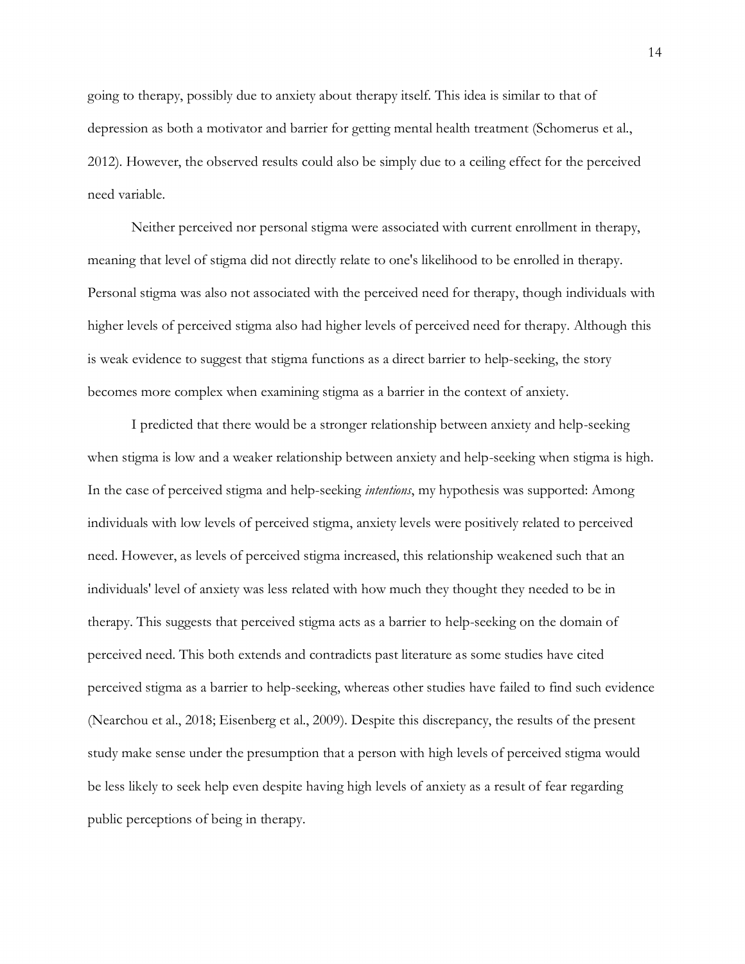going to therapy, possibly due to anxiety about therapy itself. This idea is similar to that of depression as both a motivator and barrier for getting mental health treatment (Schomerus et al., 2012). However, the observed results could also be simply due to a ceiling effect for the perceived need variable.

Neither perceived nor personal stigma were associated with current enrollment in therapy, meaning that level of stigma did not directly relate to one's likelihood to be enrolled in therapy. Personal stigma was also not associated with the perceived need for therapy, though individuals with higher levels of perceived stigma also had higher levels of perceived need for therapy. Although this is weak evidence to suggest that stigma functions as a direct barrier to help-seeking, the story becomes more complex when examining stigma as a barrier in the context of anxiety.

I predicted that there would be a stronger relationship between anxiety and help-seeking when stigma is low and a weaker relationship between anxiety and help-seeking when stigma is high. In the case of perceived stigma and help-seeking *intentions*, my hypothesis was supported: Among individuals with low levels of perceived stigma, anxiety levels were positively related to perceived need. However, as levels of perceived stigma increased, this relationship weakened such that an individuals' level of anxiety was less related with how much they thought they needed to be in therapy. This suggests that perceived stigma acts as a barrier to help-seeking on the domain of perceived need. This both extends and contradicts past literature as some studies have cited perceived stigma as a barrier to help-seeking, whereas other studies have failed to find such evidence (Nearchou et al., 2018; Eisenberg et al., 2009). Despite this discrepancy, the results of the present study make sense under the presumption that a person with high levels of perceived stigma would be less likely to seek help even despite having high levels of anxiety as a result of fear regarding public perceptions of being in therapy.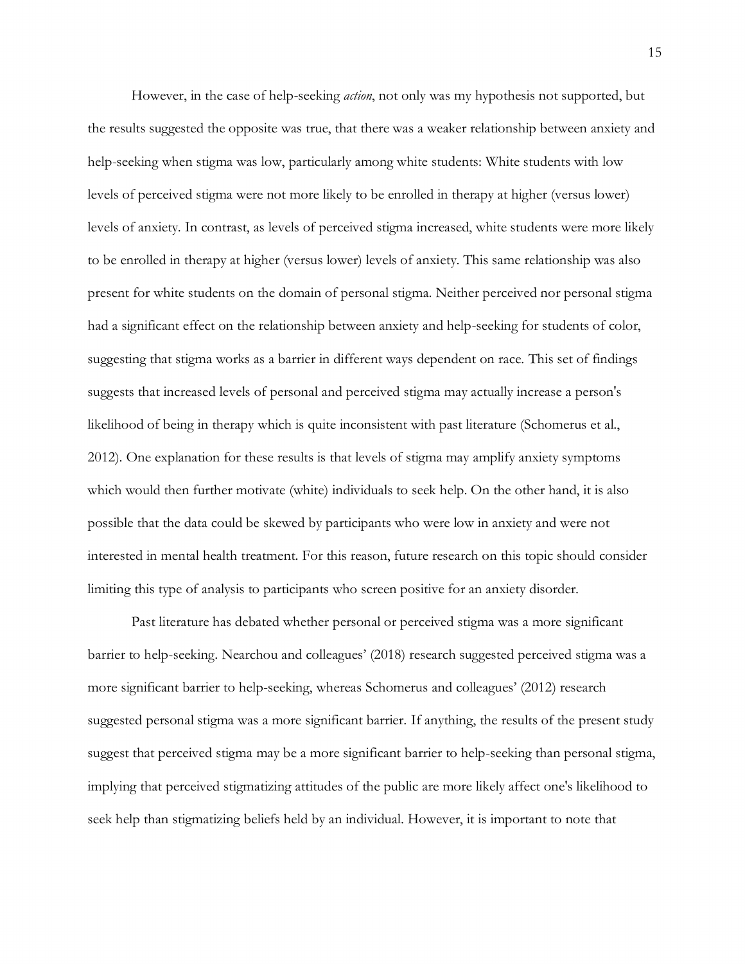However, in the case of help-seeking *action*, not only was my hypothesis not supported, but the results suggested the opposite was true, that there was a weaker relationship between anxiety and help-seeking when stigma was low, particularly among white students: White students with low levels of perceived stigma were not more likely to be enrolled in therapy at higher (versus lower) levels of anxiety. In contrast, as levels of perceived stigma increased, white students were more likely to be enrolled in therapy at higher (versus lower) levels of anxiety. This same relationship was also present for white students on the domain of personal stigma. Neither perceived nor personal stigma had a significant effect on the relationship between anxiety and help-seeking for students of color, suggesting that stigma works as a barrier in different ways dependent on race. This set of findings suggests that increased levels of personal and perceived stigma may actually increase a person's likelihood of being in therapy which is quite inconsistent with past literature (Schomerus et al., 2012). One explanation for these results is that levels of stigma may amplify anxiety symptoms which would then further motivate (white) individuals to seek help. On the other hand, it is also possible that the data could be skewed by participants who were low in anxiety and were not interested in mental health treatment. For this reason, future research on this topic should consider limiting this type of analysis to participants who screen positive for an anxiety disorder.

Past literature has debated whether personal or perceived stigma was a more significant barrier to help-seeking. Nearchou and colleagues' (2018) research suggested perceived stigma was a more significant barrier to help-seeking, whereas Schomerus and colleagues' (2012) research suggested personal stigma was a more significant barrier. If anything, the results of the present study suggest that perceived stigma may be a more significant barrier to help-seeking than personal stigma, implying that perceived stigmatizing attitudes of the public are more likely affect one's likelihood to seek help than stigmatizing beliefs held by an individual. However, it is important to note that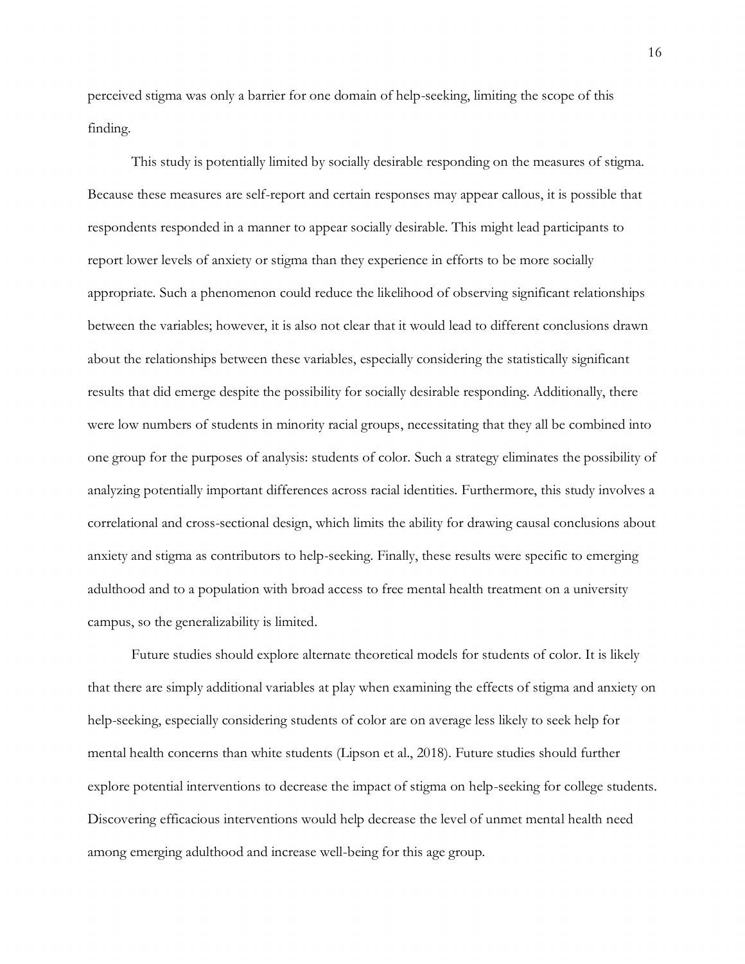perceived stigma was only a barrier for one domain of help-seeking, limiting the scope of this finding.

This study is potentially limited by socially desirable responding on the measures of stigma. Because these measures are self-report and certain responses may appear callous, it is possible that respondents responded in a manner to appear socially desirable. This might lead participants to report lower levels of anxiety or stigma than they experience in efforts to be more socially appropriate. Such a phenomenon could reduce the likelihood of observing significant relationships between the variables; however, it is also not clear that it would lead to different conclusions drawn about the relationships between these variables, especially considering the statistically significant results that did emerge despite the possibility for socially desirable responding. Additionally, there were low numbers of students in minority racial groups, necessitating that they all be combined into one group for the purposes of analysis: students of color. Such a strategy eliminates the possibility of analyzing potentially important differences across racial identities. Furthermore, this study involves a correlational and cross-sectional design, which limits the ability for drawing causal conclusions about anxiety and stigma as contributors to help-seeking. Finally, these results were specific to emerging adulthood and to a population with broad access to free mental health treatment on a university campus, so the generalizability is limited.

Future studies should explore alternate theoretical models for students of color. It is likely that there are simply additional variables at play when examining the effects of stigma and anxiety on help-seeking, especially considering students of color are on average less likely to seek help for mental health concerns than white students (Lipson et al., 2018). Future studies should further explore potential interventions to decrease the impact of stigma on help-seeking for college students. Discovering efficacious interventions would help decrease the level of unmet mental health need among emerging adulthood and increase well-being for this age group.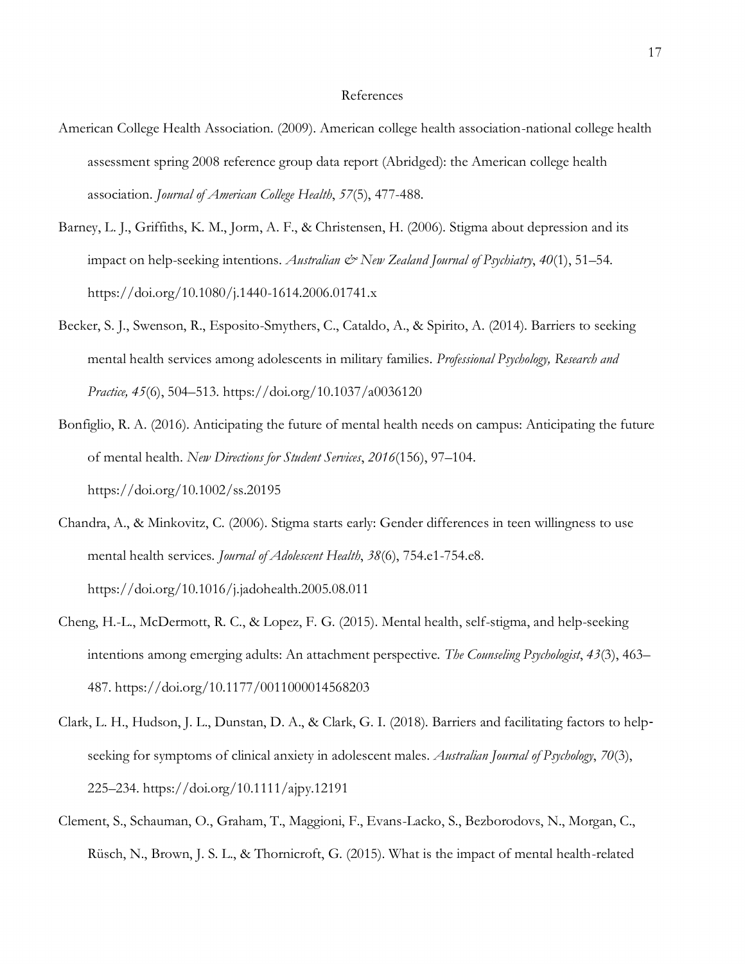#### References

- American College Health Association. (2009). American college health association-national college health assessment spring 2008 reference group data report (Abridged): the American college health association. *Journal of American College Health*, *57*(5), 477-488.
- Barney, L. J., Griffiths, K. M., Jorm, A. F., & Christensen, H. (2006). Stigma about depression and its impact on help-seeking intentions. *Australian & New Zealand Journal of Psychiatry*, 40(1), 51–54. https://doi.org/10.1080/j.1440-1614.2006.01741.x
- Becker, S. J., Swenson, R., Esposito-Smythers, C., Cataldo, A., & Spirito, A. (2014). Barriers to seeking mental health services among adolescents in military families. *Professional Psychology, Research and Practice, 45*(6), 504–513. https://doi.org/10.1037/a0036120
- Bonfiglio, R. A. (2016). Anticipating the future of mental health needs on campus: Anticipating the future of mental health. *New Directions for Student Services*, *2016*(156), 97–104. https://doi.org/10.1002/ss.20195
- Chandra, A., & Minkovitz, C. (2006). Stigma starts early: Gender differences in teen willingness to use mental health services. *Journal of Adolescent Health*, *38*(6), 754.e1-754.e8. https://doi.org/10.1016/j.jadohealth.2005.08.011
- Cheng, H.-L., McDermott, R. C., & Lopez, F. G. (2015). Mental health, self-stigma, and help-seeking intentions among emerging adults: An attachment perspective. *The Counseling Psychologist*, *43*(3), 463– 487. https://doi.org/10.1177/0011000014568203
- Clark, L. H., Hudson, J. L., Dunstan, D. A., & Clark, G. I. (2018). Barriers and facilitating factors to help‐ seeking for symptoms of clinical anxiety in adolescent males. *Australian Journal of Psychology*, *70*(3), 225–234. https://doi.org/10.1111/ajpy.12191
- Clement, S., Schauman, O., Graham, T., Maggioni, F., Evans-Lacko, S., Bezborodovs, N., Morgan, C., Rüsch, N., Brown, J. S. L., & Thornicroft, G. (2015). What is the impact of mental health-related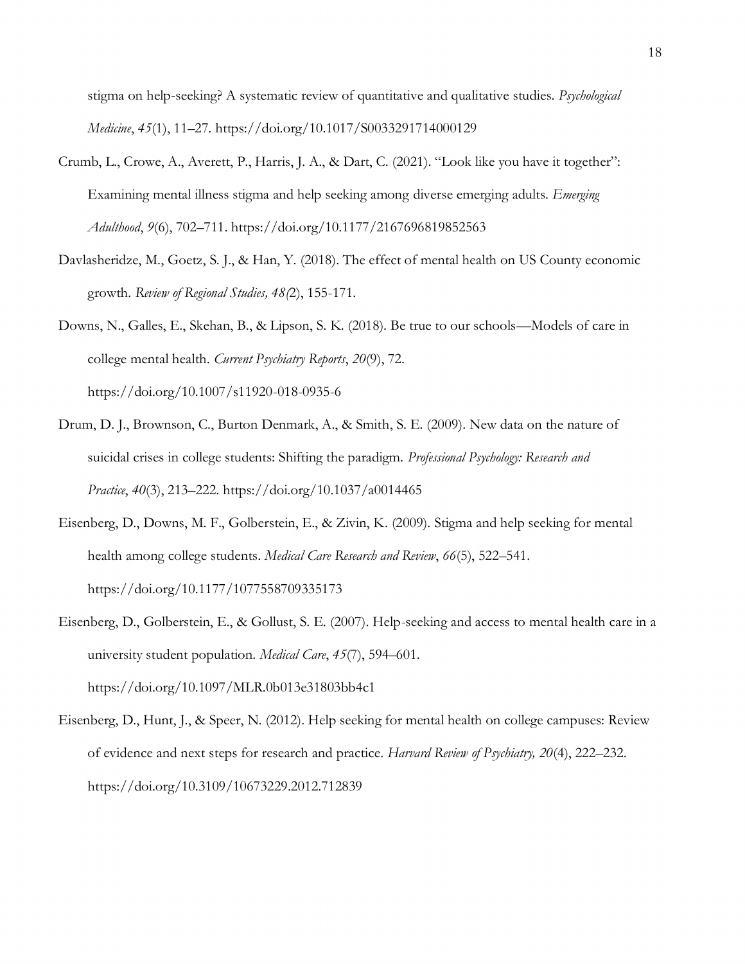stigma on help-seeking? A systematic review of quantitative and qualitative studies. *Psychological Medicine*, *45*(1), 11–27. https://doi.org/10.1017/S0033291714000129

- Crumb, L., Crowe, A., Averett, P., Harris, J. A., & Dart, C. (2021). "Look like you have it together": Examining mental illness stigma and help seeking among diverse emerging adults. *Emerging Adulthood*, *9*(6), 702–711. https://doi.org/10.1177/2167696819852563
- Davlasheridze, M., Goetz, S. J., & Han, Y. (2018). The effect of mental health on US County economic growth. *Review of Regional Studies, 48(*2), 155-171.
- Downs, N., Galles, E., Skehan, B., & Lipson, S. K. (2018). Be true to our schools—Models of care in college mental health. *Current Psychiatry Reports*, *20*(9), 72. https://doi.org/10.1007/s11920-018-0935-6
- Drum, D. J., Brownson, C., Burton Denmark, A., & Smith, S. E. (2009). New data on the nature of suicidal crises in college students: Shifting the paradigm. *Professional Psychology: Research and Practice*, *40*(3), 213–222. https://doi.org/10.1037/a0014465
- Eisenberg, D., Downs, M. F., Golberstein, E., & Zivin, K. (2009). Stigma and help seeking for mental health among college students. *Medical Care Research and Review*, *66*(5), 522–541. https://doi.org/10.1177/1077558709335173
- Eisenberg, D., Golberstein, E., & Gollust, S. E. (2007). Help-seeking and access to mental health care in a university student population. *Medical Care*, *45*(7), 594–601. https://doi.org/10.1097/MLR.0b013e31803bb4c1
- Eisenberg, D., Hunt, J., & Speer, N. (2012). Help seeking for mental health on college campuses: Review of evidence and next steps for research and practice. *Harvard Review of Psychiatry, 20*(4), 222–232. https://doi.org/10.3109/10673229.2012.712839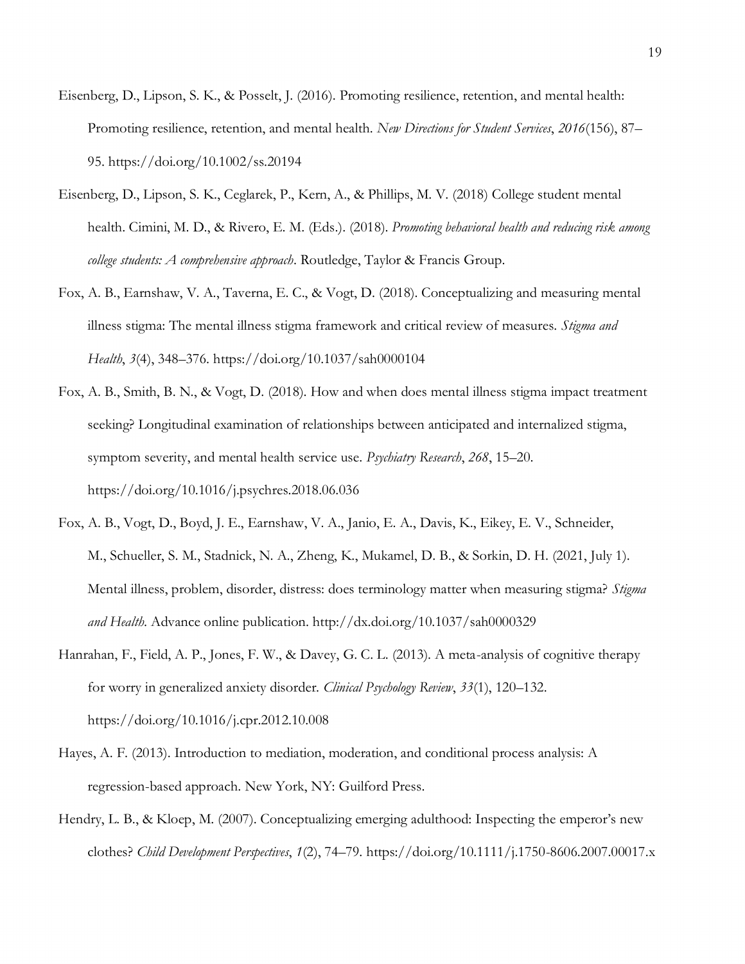- Eisenberg, D., Lipson, S. K., & Posselt, J. (2016). Promoting resilience, retention, and mental health: Promoting resilience, retention, and mental health. *New Directions for Student Services*, *2016*(156), 87– 95. https://doi.org/10.1002/ss.20194
- Eisenberg, D., Lipson, S. K., Ceglarek, P., Kern, A., & Phillips, M. V. (2018) College student mental health. Cimini, M. D., & Rivero, E. M. (Eds.). (2018). *Promoting behavioral health and reducing risk among college students: A comprehensive approach*. Routledge, Taylor & Francis Group.
- Fox, A. B., Earnshaw, V. A., Taverna, E. C., & Vogt, D. (2018). Conceptualizing and measuring mental illness stigma: The mental illness stigma framework and critical review of measures. *Stigma and Health*, *3*(4), 348–376. https://doi.org/10.1037/sah0000104
- Fox, A. B., Smith, B. N., & Vogt, D. (2018). How and when does mental illness stigma impact treatment seeking? Longitudinal examination of relationships between anticipated and internalized stigma, symptom severity, and mental health service use. *Psychiatry Research*, *268*, 15–20. https://doi.org/10.1016/j.psychres.2018.06.036
- Fox, A. B., Vogt, D., Boyd, J. E., Earnshaw, V. A., Janio, E. A., Davis, K., Eikey, E. V., Schneider, M., Schueller, S. M., Stadnick, N. A., Zheng, K., Mukamel, D. B., & Sorkin, D. H. (2021, July 1). Mental illness, problem, disorder, distress: does terminology matter when measuring stigma? *Stigma and Health*. Advance online publication. http://dx.doi.org/10.1037/sah0000329
- Hanrahan, F., Field, A. P., Jones, F. W., & Davey, G. C. L. (2013). A meta-analysis of cognitive therapy for worry in generalized anxiety disorder. *Clinical Psychology Review*, *33*(1), 120–132. https://doi.org/10.1016/j.cpr.2012.10.008
- Hayes, A. F. (2013). Introduction to mediation, moderation, and conditional process analysis: A regression-based approach. New York, NY: Guilford Press.
- Hendry, L. B., & Kloep, M. (2007). Conceptualizing emerging adulthood: Inspecting the emperor's new clothes? *Child Development Perspectives*, *1*(2), 74–79. https://doi.org/10.1111/j.1750-8606.2007.00017.x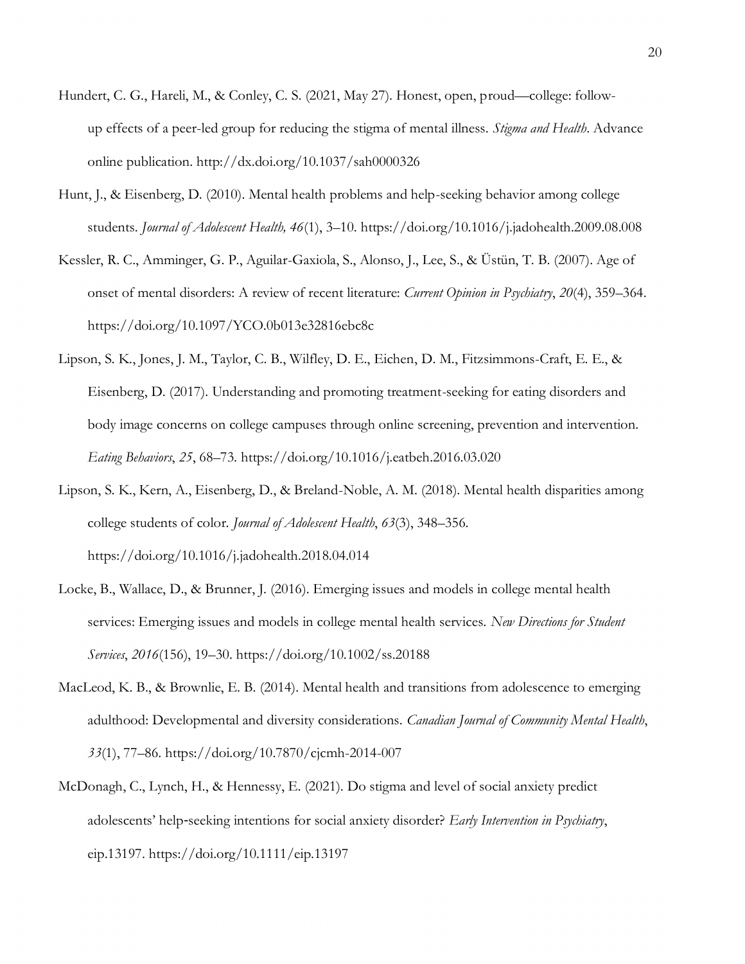- Hundert, C. G., Hareli, M., & Conley, C. S. (2021, May 27). Honest, open, proud—college: followup effects of a peer-led group for reducing the stigma of mental illness. *Stigma and Health*. Advance online publication. http://dx.doi.org/10.1037/sah0000326
- Hunt, J., & Eisenberg, D. (2010). Mental health problems and help-seeking behavior among college students. *Journal of Adolescent Health, 46*(1), 3–10. https://doi.org/10.1016/j.jadohealth.2009.08.008
- Kessler, R. C., Amminger, G. P., Aguilar-Gaxiola, S., Alonso, J., Lee, S., & Üstün, T. B. (2007). Age of onset of mental disorders: A review of recent literature: *Current Opinion in Psychiatry*, *20*(4), 359–364. https://doi.org/10.1097/YCO.0b013e32816ebc8c
- Lipson, S. K., Jones, J. M., Taylor, C. B., Wilfley, D. E., Eichen, D. M., Fitzsimmons-Craft, E. E., & Eisenberg, D. (2017). Understanding and promoting treatment-seeking for eating disorders and body image concerns on college campuses through online screening, prevention and intervention. *Eating Behaviors*, *25*, 68–73. https://doi.org/10.1016/j.eatbeh.2016.03.020
- Lipson, S. K., Kern, A., Eisenberg, D., & Breland-Noble, A. M. (2018). Mental health disparities among college students of color. *Journal of Adolescent Health*, *63*(3), 348–356. https://doi.org/10.1016/j.jadohealth.2018.04.014
- Locke, B., Wallace, D., & Brunner, J. (2016). Emerging issues and models in college mental health services: Emerging issues and models in college mental health services. *New Directions for Student Services*, *2016*(156), 19–30. https://doi.org/10.1002/ss.20188
- MacLeod, K. B., & Brownlie, E. B. (2014). Mental health and transitions from adolescence to emerging adulthood: Developmental and diversity considerations. *Canadian Journal of Community Mental Health*, *33*(1), 77–86. https://doi.org/10.7870/cjcmh-2014-007
- McDonagh, C., Lynch, H., & Hennessy, E. (2021). Do stigma and level of social anxiety predict adolescents' help‐seeking intentions for social anxiety disorder? *Early Intervention in Psychiatry*, eip.13197. https://doi.org/10.1111/eip.13197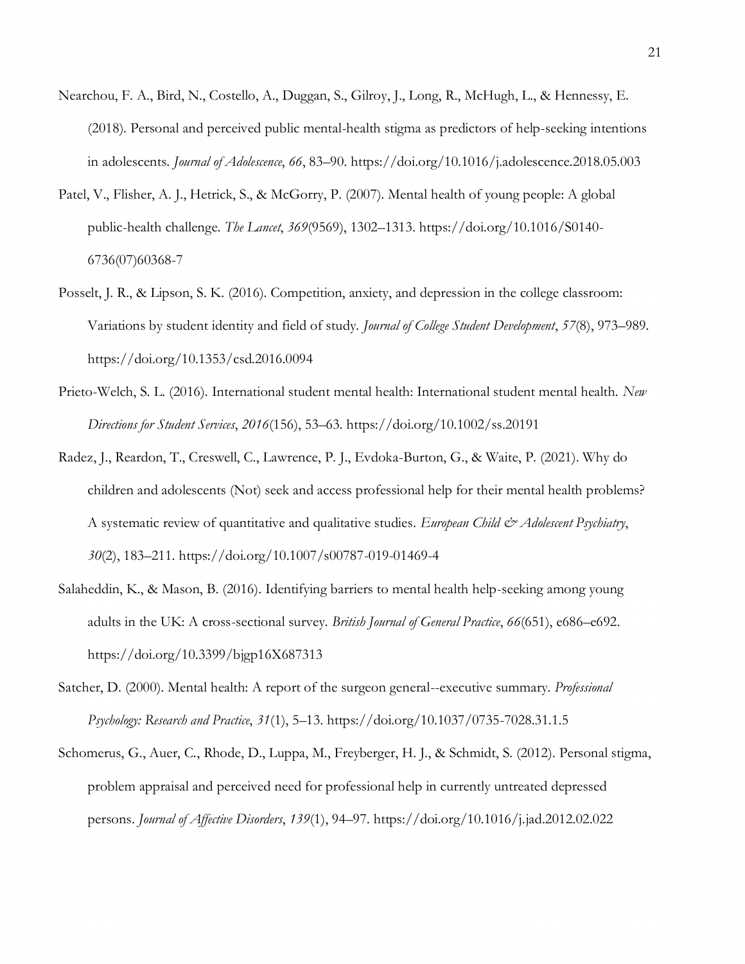- Nearchou, F. A., Bird, N., Costello, A., Duggan, S., Gilroy, J., Long, R., McHugh, L., & Hennessy, E. (2018). Personal and perceived public mental-health stigma as predictors of help-seeking intentions in adolescents. *Journal of Adolescence*, *66*, 83–90. https://doi.org/10.1016/j.adolescence.2018.05.003
- Patel, V., Flisher, A. J., Hetrick, S., & McGorry, P. (2007). Mental health of young people: A global public-health challenge. *The Lancet*, *369*(9569), 1302–1313. https://doi.org/10.1016/S0140- 6736(07)60368-7
- Posselt, J. R., & Lipson, S. K. (2016). Competition, anxiety, and depression in the college classroom: Variations by student identity and field of study. *Journal of College Student Development*, *57*(8), 973–989. https://doi.org/10.1353/csd.2016.0094
- Prieto-Welch, S. L. (2016). International student mental health: International student mental health. *New Directions for Student Services*, *2016*(156), 53–63. https://doi.org/10.1002/ss.20191
- Radez, J., Reardon, T., Creswell, C., Lawrence, P. J., Evdoka-Burton, G., & Waite, P. (2021). Why do children and adolescents (Not) seek and access professional help for their mental health problems? A systematic review of quantitative and qualitative studies. *European Child & Adolescent Psychiatry*, *30*(2), 183–211. https://doi.org/10.1007/s00787-019-01469-4
- Salaheddin, K., & Mason, B. (2016). Identifying barriers to mental health help-seeking among young adults in the UK: A cross-sectional survey. *British Journal of General Practice*, *66*(651), e686–e692. https://doi.org/10.3399/bjgp16X687313
- Satcher, D. (2000). Mental health: A report of the surgeon general--executive summary. *Professional Psychology: Research and Practice*, *31*(1), 5–13. https://doi.org/10.1037/0735-7028.31.1.5
- Schomerus, G., Auer, C., Rhode, D., Luppa, M., Freyberger, H. J., & Schmidt, S. (2012). Personal stigma, problem appraisal and perceived need for professional help in currently untreated depressed persons. *Journal of Affective Disorders*, *139*(1), 94–97. https://doi.org/10.1016/j.jad.2012.02.022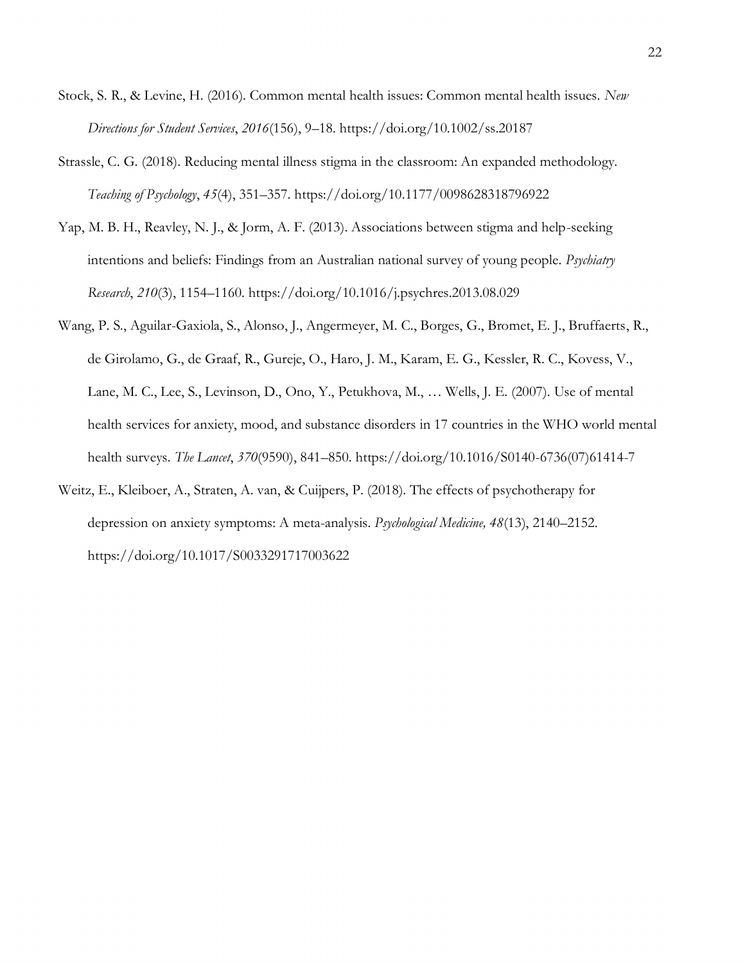- Stock, S. R., & Levine, H. (2016). Common mental health issues: Common mental health issues. *New Directions for Student Services*, *2016*(156), 9–18. https://doi.org/10.1002/ss.20187
- Strassle, C. G. (2018). Reducing mental illness stigma in the classroom: An expanded methodology. *Teaching of Psychology*, *45*(4), 351–357. https://doi.org/10.1177/0098628318796922
- Yap, M. B. H., Reavley, N. J., & Jorm, A. F. (2013). Associations between stigma and help-seeking intentions and beliefs: Findings from an Australian national survey of young people. *Psychiatry Research*, *210*(3), 1154–1160. https://doi.org/10.1016/j.psychres.2013.08.029
- Wang, P. S., Aguilar-Gaxiola, S., Alonso, J., Angermeyer, M. C., Borges, G., Bromet, E. J., Bruffaerts, R., de Girolamo, G., de Graaf, R., Gureje, O., Haro, J. M., Karam, E. G., Kessler, R. C., Kovess, V., Lane, M. C., Lee, S., Levinson, D., Ono, Y., Petukhova, M., … Wells, J. E. (2007). Use of mental health services for anxiety, mood, and substance disorders in 17 countries in the WHO world mental health surveys. *The Lancet*, *370*(9590), 841–850. https://doi.org/10.1016/S0140-6736(07)61414-7
- Weitz, E., Kleiboer, A., Straten, A. van, & Cuijpers, P. (2018). The effects of psychotherapy for depression on anxiety symptoms: A meta-analysis. *Psychological Medicine, 48*(13), 2140–2152. https://doi.org/10.1017/S0033291717003622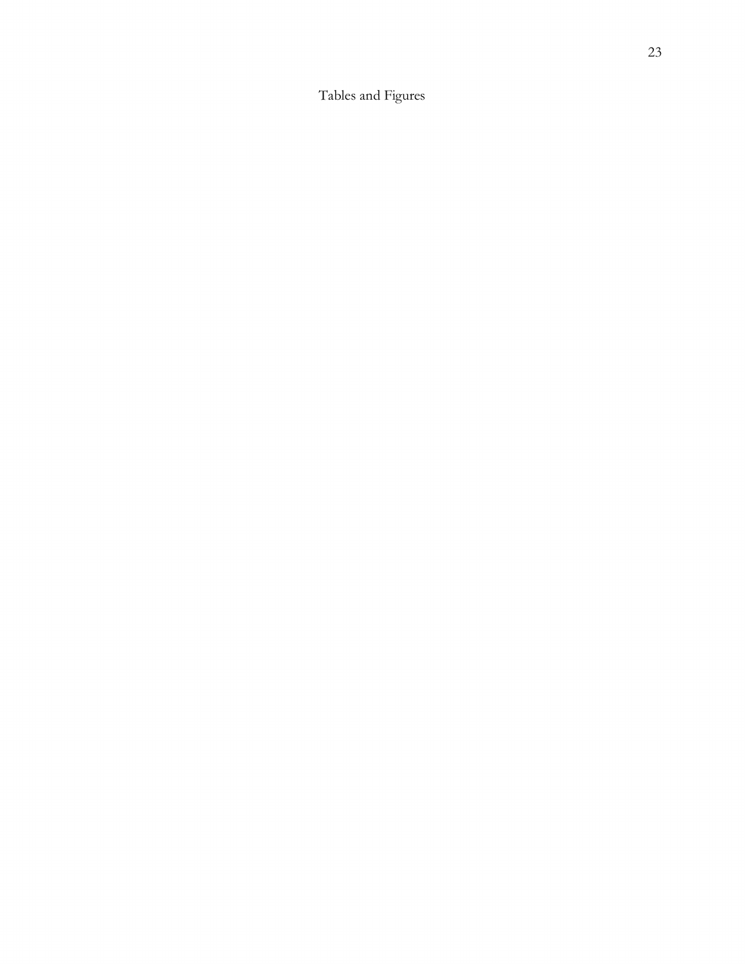Tables and Figures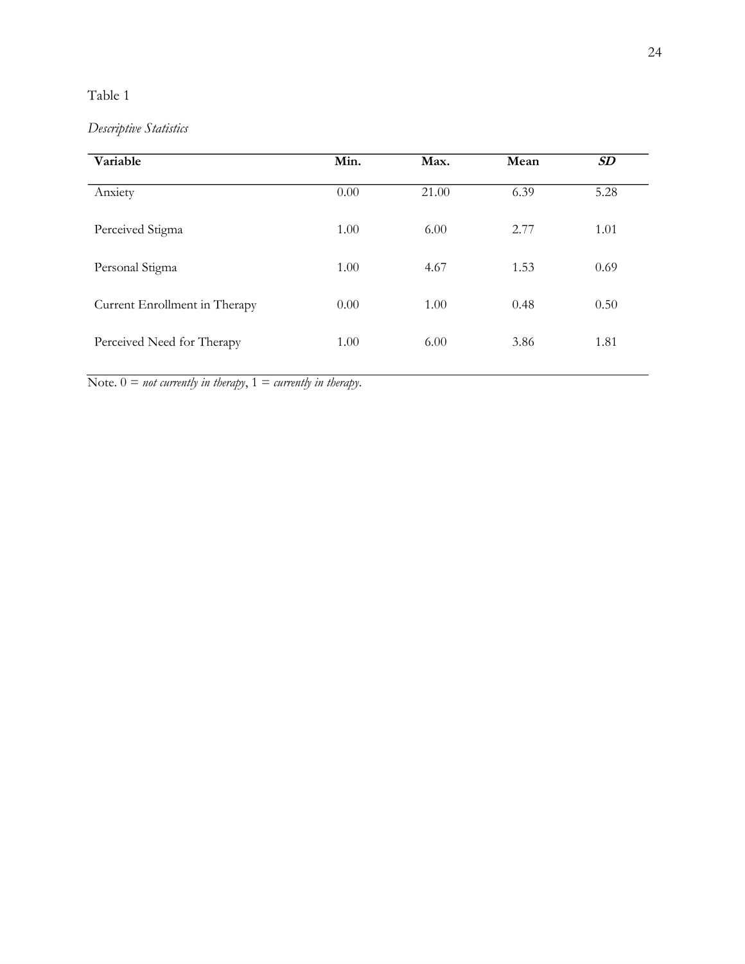## Table 1

# *Descriptive Statistics*

| Variable                      | Min. | Max.  | Mean | $\pmb{S}\pmb{D}$ |  |
|-------------------------------|------|-------|------|------------------|--|
| Anxiety                       | 0.00 | 21.00 | 6.39 | 5.28             |  |
| Perceived Stigma              | 1.00 | 6.00  | 2.77 | 1.01             |  |
| Personal Stigma               | 1.00 | 4.67  | 1.53 | 0.69             |  |
| Current Enrollment in Therapy | 0.00 | 1.00  | 0.48 | 0.50             |  |
| Perceived Need for Therapy    | 1.00 | 6.00  | 3.86 | 1.81             |  |

Note.  $0 = not currently in therapy, 1 = currently in therapy.$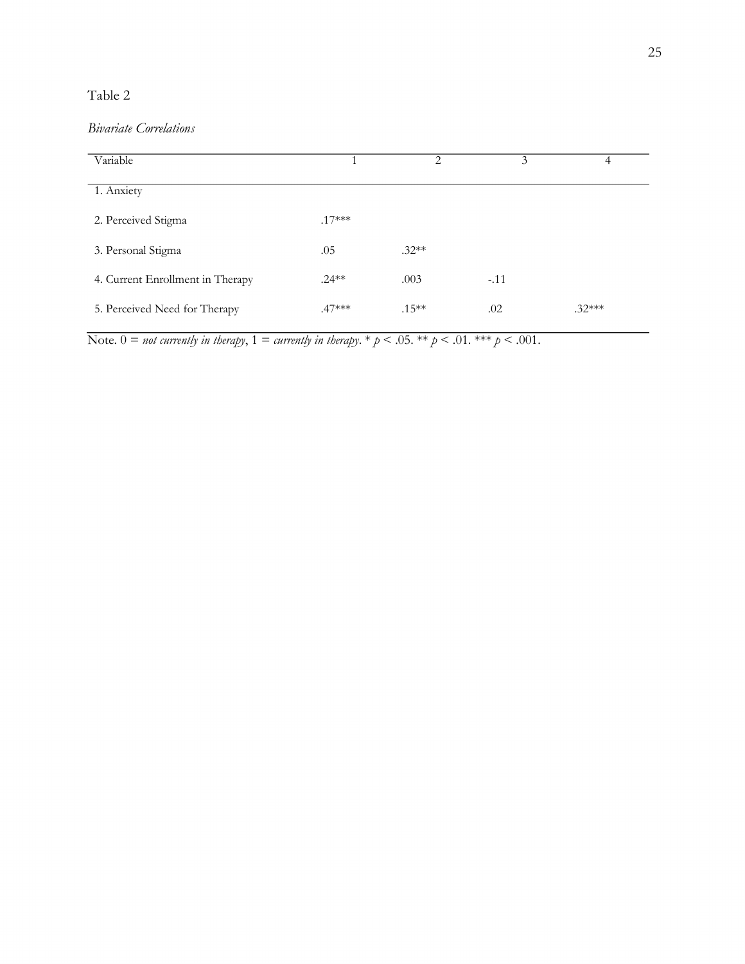### Table 2

# *Bivariate Correlations*

| Variable                         |          | 2        | 3      | 4        |
|----------------------------------|----------|----------|--------|----------|
| 1. Anxiety                       |          |          |        |          |
| 2. Perceived Stigma              | $.17***$ |          |        |          |
| 3. Personal Stigma               | .05      | $.32**$  |        |          |
| 4. Current Enrollment in Therapy | $.24**$  | .003     | $-.11$ |          |
| 5. Perceived Need for Therapy    | $.47***$ | $.15***$ | .02    | $.32***$ |

Note.  $0 =$  *not currently in therapy*,  $1 =$  *currently in therapy*.  $*$   $p < .05$ .  $**$   $p < .01$ .  $***$   $p < .001$ .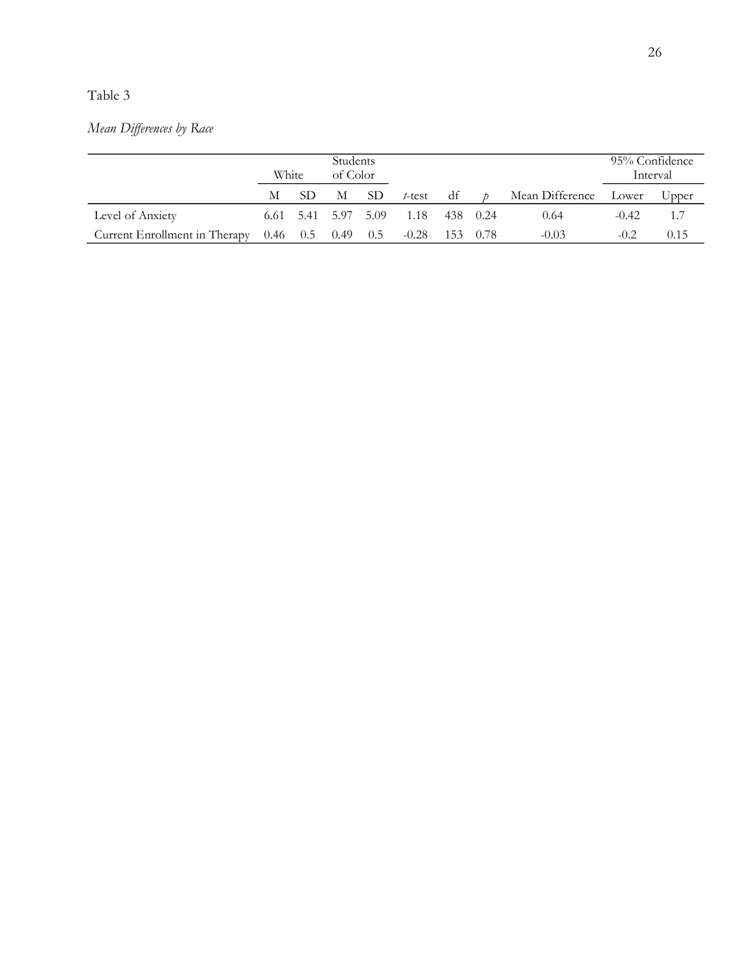# Table 3

# *Mean Differences by Race*

|                                                         |   | Students<br>White<br>of Color |                     |     |                  |    | 95% Confidence  | Interval |       |
|---------------------------------------------------------|---|-------------------------------|---------------------|-----|------------------|----|-----------------|----------|-------|
|                                                         | M | SD.                           | М                   | SD. | $t$ -test        | df | Mean Difference | Lower    | Upper |
| Level of Anxiety                                        |   |                               | 6.61 5.41 5.97 5.09 |     | 1.18 438 0.24    |    | 0.64            | $-0.42$  | 1.7   |
| Current Enrollment in Therapy $0.46$ $0.5$ $0.49$ $0.5$ |   |                               |                     |     | $-0.28$ 153 0.78 |    | $-0.03$         | $-0.2$   | 0.15  |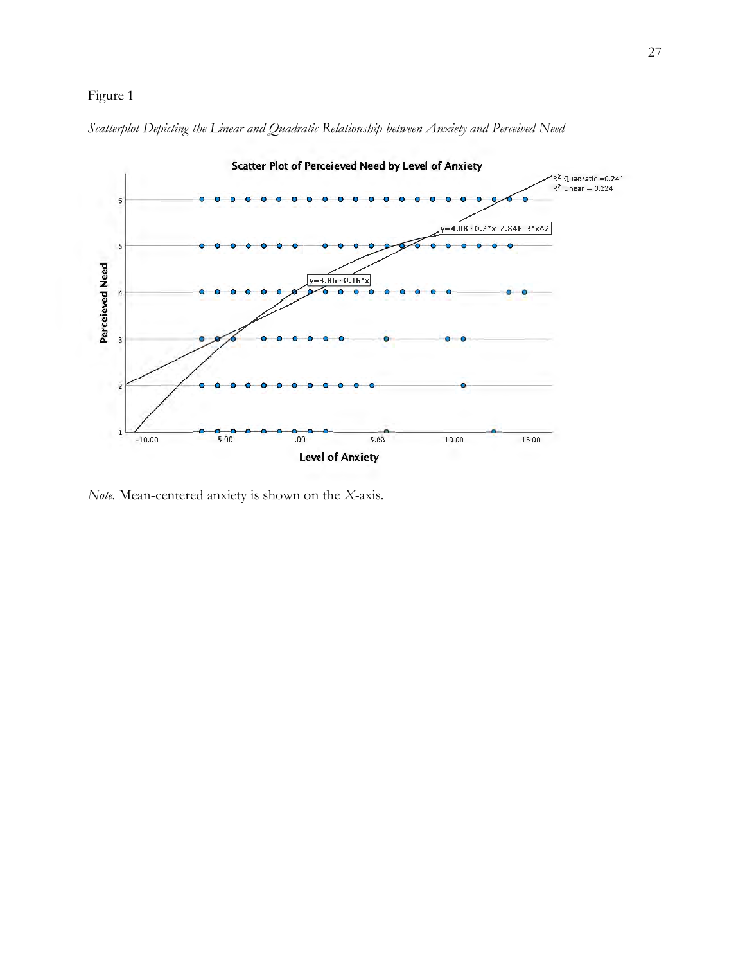*Scatterplot Depicting the Linear and Quadratic Relationship between Anxiety and Perceived Need*



*Note.* Mean-centered anxiety is shown on the *X*-axis.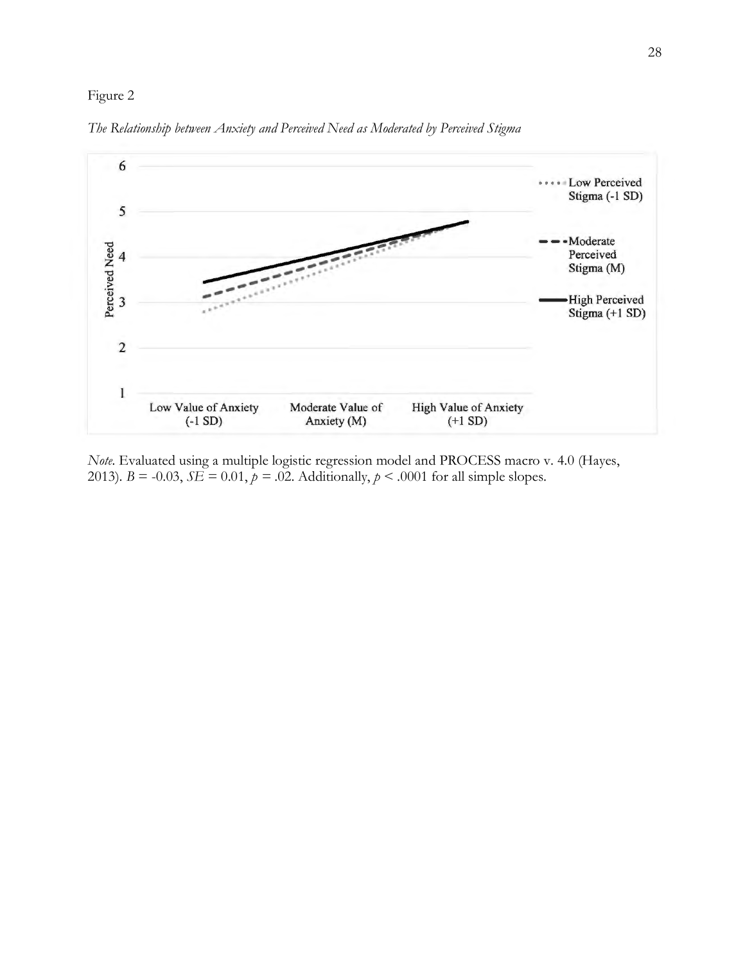

*The Relationship between Anxiety and Perceived Need as Moderated by Perceived Stigma*

*Note.* Evaluated using a multiple logistic regression model and PROCESS macro v. 4.0 (Hayes, 2013).  $B = -0.03$ ,  $SE = 0.01$ ,  $p = .02$ . Additionally,  $p < .0001$  for all simple slopes.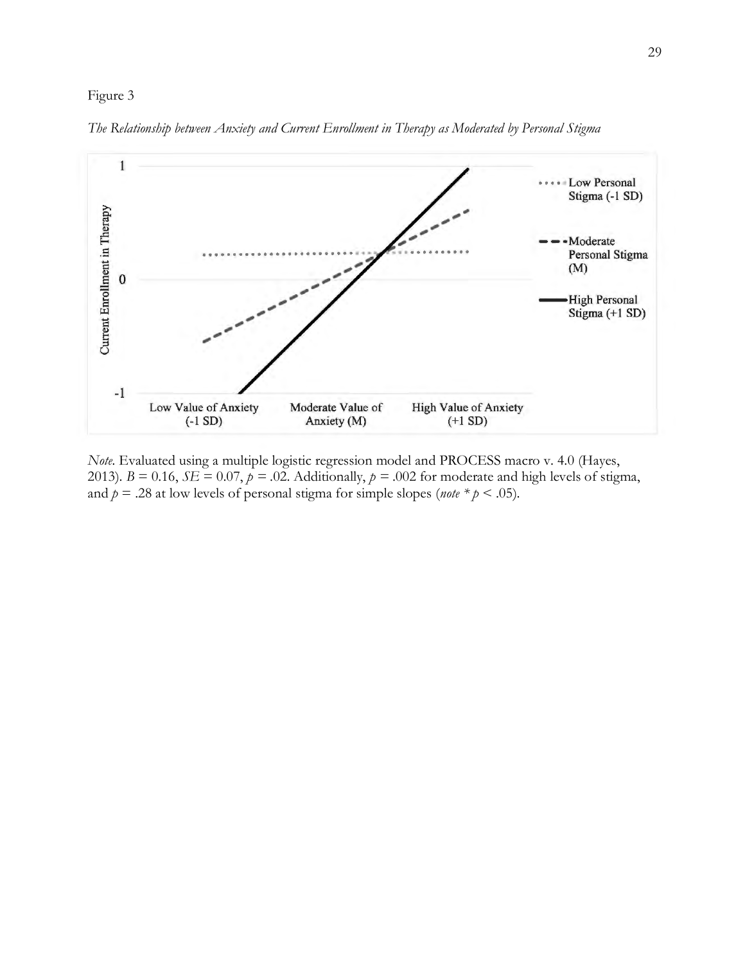

*The Relationship between Anxiety and Current Enrollment in Therapy as Moderated by Personal Stigma*

*Note.* Evaluated using a multiple logistic regression model and PROCESS macro v. 4.0 (Hayes, 2013).  $B = 0.16$ ,  $SE = 0.07$ ,  $p = .02$ . Additionally,  $p = .002$  for moderate and high levels of stigma, and  $p = .28$  at low levels of personal stigma for simple slopes (*note*  $* p < .05$ ).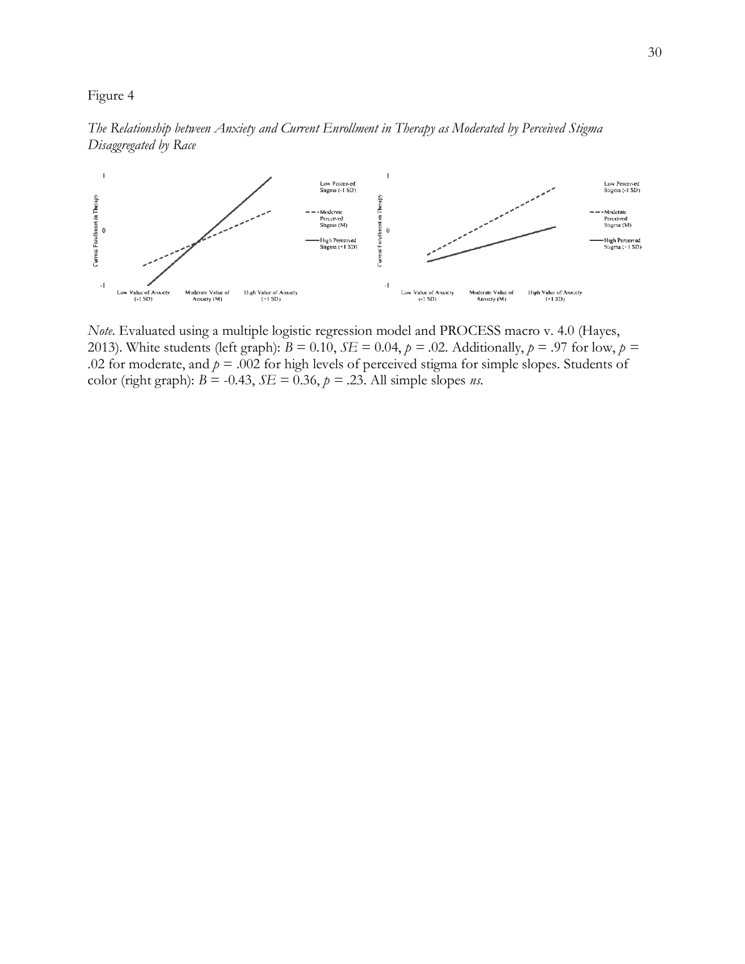



*Note.* Evaluated using a multiple logistic regression model and PROCESS macro v. 4.0 (Hayes, 2013). White students (left graph):  $B = 0.10$ ,  $SE = 0.04$ ,  $p = .02$ . Additionally,  $p = .97$  for low,  $p =$ .02 for moderate, and  $p = 0.002$  for high levels of perceived stigma for simple slopes. Students of color (right graph):  $B = -0.43$ ,  $SE = 0.36$ ,  $p = .23$ . All simple slopes *ns*.